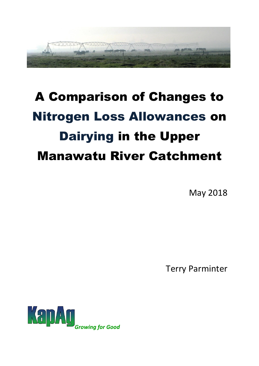

# A Comparison of Changes to Nitrogen Loss Allowances on Dairying in the Upper Manawatu River Catchment

May 2018

Terry Parminter

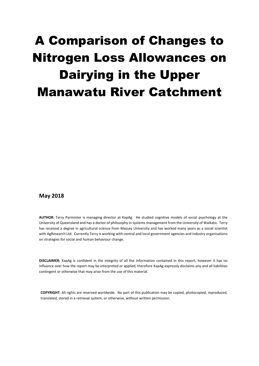## A Comparison of Changes to Nitrogen Loss Allowances on Dairying in the Upper Manawatu River Catchment

#### **May 2018**

**AUTHOR:** Terry Parminter is managing director at KapAg. He studied cognitive models of social psychology at the University of Queensland and has a doctor of philosophy in systems management from the University of Waikato. Terry has received a degree in agricultural science from Massey University and has worked many years as a social scientist with AgResearch Ltd. Currently Terry is working with central and local government agencies and industry organisations on strategies for social and human behaviour change.

**DISCLAIMER:** KapAg is confident in the integrity of all the information contained in this report, however it has no influence over how the report may be interpreted or applied, therefore KapAg expressly disclaims any and all liabilities contingent or otherwise that may arise from the use of this material.

**COPYRIGHT**: All rights are reserved worldwide. No part of this publication may be copied, photocopied, reproduced, translated, stored in a retrieval system, or otherwise, without written permission.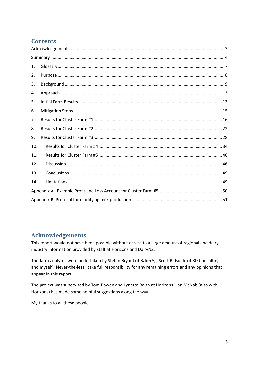## **Contents**

| 1.  |  |
|-----|--|
| 2.  |  |
| 3.  |  |
| 4.  |  |
| 5.  |  |
| 6.  |  |
| 7.  |  |
| 8.  |  |
| 9.  |  |
| 10. |  |
| 11. |  |
| 12. |  |
| 13. |  |
| 14. |  |
|     |  |
|     |  |

## <span id="page-2-0"></span>**Acknowledgements**

This report would not have been possible without access to a large amount of regional and dairy industry information provided by staff at Horizons and DairyNZ.

The farm analyses were undertaken by Stefan Bryant of BakerAg, Scott Ridsdale of RD Consulting and myself. Never-the-less I take full responsibility for any remaining errors and any opinions that appear in this report.

The project was supervised by Tom Bowen and Lynette Baish at Horizons. Ian McNab (also with Horizons) has made some helpful suggestions along the way.

My thanks to all these people.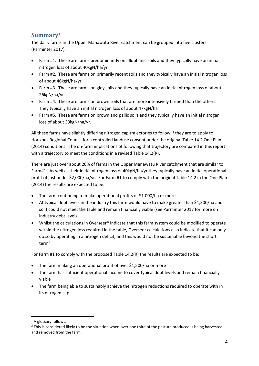## <span id="page-3-0"></span>**Summary<sup>1</sup>**

The dairy farms in the Upper Manawatu River catchment can be grouped into five clusters (Parminter 2017):

- Farm #1. These are farms predominantly on allophanic soils and they typically have an initial nitrogen loss of about 40kgN/ha/yr
- Farm #2. These are farms on primarily recent soils and they typically have an initial nitrogen loss of about 46kgN/ha/yr
- Farm #3. These are farms on gley soils and they typically have an initial nitrogen loss of about 26kgN/ha/yr
- Farm #4. These are farms on brown soils that are more intensively farmed than the others. They typically have an initial nitrogen loss of about 47kgN/ha
- Farm #5. These are farms on brown and pallic soils and they typically have an initial nitrogen loss of about 39kgN/ha/yr.

All these farms have slightly differing nitrogen cap trajectories to follow if they are to apply to Horizons Regional Council for a controlled landuse consent under the original Table 14.2 One Plan (2014) conditions. The on-farm implications of following that trajectory are compared in this report with a trajectory to meet the conditions in a revised Table 14.2(R).

There are just over about 20% of farms in the Upper Manawatu River catchment that are similar to Farm#1. As well as their initial nitrogen loss of 40kgN/ha/yr they typically have an initial operational profit of just under \$2,000/ha/yr. For Farm #1 to comply with the original Table 14.2 in the One Plan (2014) the results are expected to be:

- The farm continuing to make operational profits of \$1,000/ha or more
- At typical debt levels in the industry this farm would have to make greater than \$1,300/ha and so it could not meet the table and remain financially viable (see Parminter 2017 for more on industry debt levels)
- Whilst the calculations in Overseer® indicate that this farm system could be modified to operate within the nitrogen loss required in the table, Overseer calculations also indicate that it can only do so by operating in a nitrogen deficit, and this would not be sustainable beyond the short term<sup>2</sup>

For Farm #1 to comply with the proposed Table 14.2(R) the results are expected to be:

- The farm making an operational profit of over \$1,500/ha or more
- The farm has sufficient operational income to cover typical debt levels and remain financially viable
- The farm being able to sustainably achieve the nitrogen reductions required to operate with in its nitrogen cap

**<sup>.</sup>** <sup>1</sup> A glossary follows.

 $<sup>2</sup>$  This is considered likely to be the situation when over one third of the pasture produced is being harvested</sup> and removed from the farm.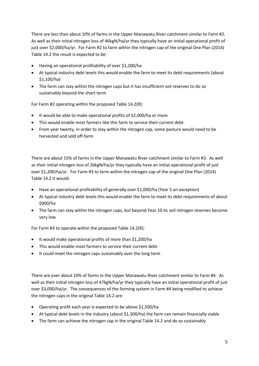There are less than about 10% of farms in the Upper Manawatu River catchment similar to Farm #2. As well as their initial nitrogen loss of 46kgN/ha/yr they typically have an initial operational profit of just over \$2,000/ha/yr. For Farm #2 to farm within the nitrogen cap of the original One Plan (2014) Table 14.2 the result is expected to be:

- Having an operational profitability of over \$1,200/ha
- At typical industry debt levels this would enable the farm to meet its debt requirements (about \$1,100/ha)
- The farm can stay within the nitrogen caps but it has insufficient soil reserves to do so sustainably beyond the short term

For Farm #2 operating within the proposed Table 14.2(R):

- It would be able to make operational profits of \$2,000/ha or more
- This would enable most farmers like this farm to service their current debt
- From year twenty, in order to stay within the nitrogen cap, some pasture would need to be harvested and sold off-farm

There are about 15% of farms in the Upper Manawatu River catchment similar to Farm #3. As well as their initial nitrogen loss of 26kgN/ha/yr they typically have an initial operational profit of just over \$1,200/ha/yr. For Farm #3 to farm within the nitrogen cap of the original One Plan (2014) Table 14.2 it would:

- Have an operational profitability of generally over \$1,000/ha (Year 5 an exception)
- At typical industry debt levels this would enable the farm to meet its debt requirements of about \$900/ha
- The farm can stay within the nitrogen caps, but beyond Year 10 its soil nitrogen reserves become very low

For Farm #3 to operate within the proposed Table 14.2(R):

- It would make operational profits of more than \$1,200/ha
- This would enable most farmers to service their current debt
- It could meet the nitrogen caps sustainably over the long term

There are over about 10% of farms in the Upper Manawatu River catchment similar to Farm #4. As well as their initial nitrogen loss of 47kgN/ha/yr they typically have an initial operational profit of just over \$3,000/ha/yr. The consequences of the farming system in Farm #4 being modified to achieve the nitrogen caps in the original Table 14.2 are:

- Operating profit each year is expected to be above \$1,500/ha
- At typical debt levels in the industry (about \$1,300/ha) the farm can remain financially viable
- The farm can achieve the nitrogen cap in the original Table 14.2 and do so sustainably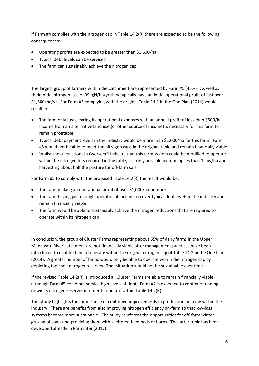If Farm #4 complies with the nitrogen cap in Table 14.2(R) there are expected to be the following consequences:

- Operating profits are expected to be greater than \$1,500/ha
- Typical debt levels can be serviced
- The farm can sustainably achieve the nitrogen cap

The largest group of farmers within the catchment are represented by Farm #5 (45%). As well as their initial nitrogen loss of 39kgN/ha/yr they typically have an initial operational profit of just over \$1,500/ha/yr. For Farm #5 complying with the original Table 14.2 in the One Plan (2014) would result in:

- The farm only just clearing its operational expenses with an annual profit of less than \$500/ha. Income from an alternative land use (or other source of income) is necessary for this farm to remain profitable
- Typical debt payment levels in the industry would be more than \$1,000/ha for this farm. Farm #5 would not be able to meet the nitrogen caps in the original table and remain financially viable
- Whilst the calculations in Overseer® indicate that this farm system could be modified to operate within the nitrogen loss required in the table, it is only possible by running les than 1cow/ha and harvesting about half the pasture for off-farm sale

For Farm #5 to comply with the proposed Table 14.2(R) the result would be:

- The farm making an operational profit of over \$1,000/ha or more
- The farm having just enough operational income to cover typical debt levels in the industry and remain financially viable
- The farm would be able to sustainably achieve the nitrogen reductions that are required to operate within its nitrogen cap

In conclusion, the group of Cluster Farms representing about 65% of dairy farms in the Upper Manawatu River catchment are not financially viable after management practices have been introduced to enable them to operate within the original nitrogen cap of Table 14.2 in the One Plan (2014). A greater number of farms would only be able to operate within the nitrogen cap by depleting their soil nitrogen reserves. That situation would not be sustainable over time.

If the revised Table 14.2(R) is introduced all Cluster Farms are able to remain financially viable although Farm #5 could not service high levels of debt. Farm #2 is expected to continue running down its nitrogen reserves in order to operate within Table 14.2(R).

This study highlights the importance of continued improvements in production per cow within the industry. There are benefits from also improving nitrogen efficiency on-farm so that low-loss systems become more sustainable. The study reinforces the opportunities for off-farm winter grazing of cows and providing them with sheltered feed pads or barns. The latter topic has been developed already in Parminter (2017).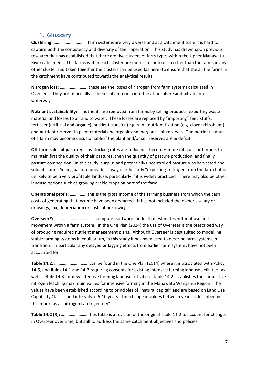#### **1. Glossary**

<span id="page-6-0"></span>**Clustering:** ………………………… farm systems are very diverse and at a catchment scale it is hard to capture both the consistency and diversity of their operation. This study has drawn upon previous research that has established that there are five clusters of farm types within the Upper Manawatu River catchment. The farms within each cluster are more similar to each other than the farms in any other cluster and taken together the clusters can be used (as here) to ensure that the all the farms in the catchment have contributed towards the analytical results.

**Nitrogen loss:** ……………………. these are the losses of nitrogen from farm systems calculated in Overseer. They are principally as losses of ammonia into the atmosphere and nitrate into waterways.

**Nutrient sustainability:** … nutrients are removed from farms by selling products, exporting waste material and losses to air and to water. These losses are replaced by "importing" feed stuffs, fertiliser (artificial and organic), nutrient transfer (e.g. rain), nutrient fixation (e.g. clover rhizobium) and nutrient reserves in plant material and organic and inorganic soil reserves. The nutrient status of a farm may become unsustainable if the plant and/or soil reserves are in deficit.

**Off-farm sales of pasture:** … as stocking rates are reduced it becomes more difficult for farmers to maintain first the quality of their pastures, then the quantity of pasture production, and finally pasture composition. In this study, surplus and potentially uncontrolled pasture was harvested and sold off-farm. Selling pasture provides a way of efficiently "exporting" nitrogen from the farm but is unlikely to be a very profitable landuse, particularly if it is widely practiced. There may also be other landuse options such as growing arable crops on part of the farm.

**Operational profit:** …………... this is the gross income of the farming business from which the cash costs of generating that income have been deducted. It has not included the owner's salary or drawings, tax, depreciation or costs of borrowing.

**Overseer®:** ………………………… is a computer software model that estimates nutrient use and movement within a farm system. In the One Plan (2014) the use of Overseer is the prescribed way of producing required nutrient management plans. Although Overseer is best suited to modelling stable farming systems in equilibrium, in this study it has been used to describe farm systems in transition. In particular any delayed or lagging effects from earlier farm systems have not been accounted for.

**Table 14.2:** …………………………. can be found in the One Plan (2014) where it is associated with Policy 14-5, and Rules 14-1 and 14-2 requiring consents for existing intensive farming landuse activities, as well as Rule 14-3 for new intensive farming landuse activities. Table 14.2 establishes the cumulative nitrogen leaching maximum values for intensive farming in the Manawatu Wanganui Region. The values have been established according to principles of "natural capital" and are based on Land Use Capability Classes and intervals of 5-10 years. The change in values between years is described in this report as a "nitrogen cap trajectory".

**Table 14.2 (R):** ……………………. this table is a revision of the original Table 14.2 to account for changes in Overseer over time, but still to address the same catchment objectives and policies.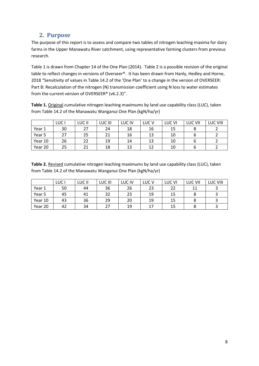## **2. Purpose**

<span id="page-7-0"></span>The purpose of this report is to assess and compare two tables of nitrogen leaching maxima for dairy farms in the Upper Manawatu River catchment, using representative farming clusters from previous research.

Table 1 is drawn from Chapter 14 of the One Plan (2014). Table 2 is a possible revision of the original table to reflect changes in versions of Overseer®. It has been drawn from Hanly, Hedley and Horne, 2018 "Sensitivity of values in Table 14.2 of the 'One Plan' to a change in the version of OVERSEER: Part B: Recalculation of the nitrogen (N) transmission coefficient using N loss to water estimates from the current version of OVERSEER® (v6.2.3)".

**Table 1.** Original cumulative nitrogen leaching maximums by land use capability class (LUC), taken from Table 14.2 of the Manawatu Wanganui One Plan (kgN/ha/yr)

|         | LUC I | LUC II | LUC III | LUC IV | LUC <sub>V</sub> | LUC VI | LUC VII | LUC VIII |
|---------|-------|--------|---------|--------|------------------|--------|---------|----------|
| Year 1  | 30    |        | 24      | 18     | 16               | 15     |         |          |
| Year 5  | 27    | 25     |         | 16     | 13               | 10     |         |          |
| Year 10 | 26    | 22     | 19      | 14     | 13               | 10     |         |          |
| Year 20 | 25    |        | 18      | 13     | 12               | 10     |         |          |

Table 2. Revised cumulative nitrogen leaching maximums by land use capability class (LUC), taken from Table 14.2 of the Manawatu Wanganui One Plan (kgN/ha/yr)

|         | LUC I | LUC II | LUC III | <b>LUC IV</b> | LUC <sub>V</sub> | LUC VI | LUC VII | LUC VIII |
|---------|-------|--------|---------|---------------|------------------|--------|---------|----------|
| Year 1  | 50    | 44     | 36      | 26            | 23               | 22     | 11      |          |
| Year 5  | 45    | 41     | 32      | 23            | 19               | 15     |         |          |
| Year 10 | 43    | 36     | 29      | 20            | 19               | 15     |         |          |
| Year 20 | 42    | 34     |         | 19            | 17               | 15     |         |          |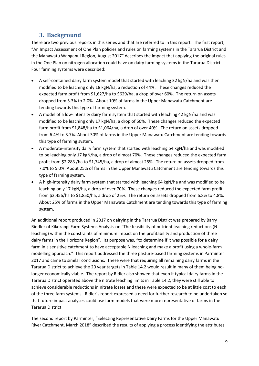## **3. Background**

<span id="page-8-0"></span>There are two previous reports in this series and that are referred to in this report. The first report, "An Impact Assessment of One Plan policies and rules on farming systems in the Tararua District and the Manawatu Wanganui Region, August 2017" describes the impact that applying the original rules in the One Plan on nitrogen allocation could have on dairy farming systems in the Tararua District. Four farming systems were described:

- A self-contained dairy farm system model that started with leaching 32 kgN/ha and was then modified to be leaching only 18 kgN/ha, a reduction of 44%. These changes reduced the expected farm profit from \$1,627/ha to \$629/ha, a drop of over 60%. The return on assets dropped from 5.3% to 2.0%. About 10% of farms in the Upper Manawatu Catchment are tending towards this type of farming system.
- A model of a low-intensity dairy farm system that started with leaching 42 kgN/ha and was modified to be leaching only 17 kgN/ha, a drop of 60%. These changes reduced the expected farm profit from \$1,848/ha to \$1,064/ha, a drop of over 40%. The return on assets dropped from 6.4% to 3.7%. About 30% of farms in the Upper Manawatu Catchment are tending towards this type of farming system.
- A moderate-intensity dairy farm system that started with leaching 54 kgN/ha and was modified to be leaching only 17 kgN/ha, a drop of almost 70%. These changes reduced the expected farm profit from \$2,283 /ha to \$1,745/ha, a drop of almost 25%. The return on assets dropped from 7.0% to 5.0%. About 25% of farms in the Upper Manawatu Catchment are tending towards this type of farming system.
- A high-intensity dairy farm system that started with leaching 64 kgN/ha and was modified to be leaching only 17 kgN/ha, a drop of over 70%. These changes reduced the expected farm profit from \$2,456/ha to \$1,850/ha, a drop of 25%. The return on assets dropped from 6.8% to 4.8%. About 25% of farms in the Upper Manawatu Catchment are tending towards this type of farming system.

An additional report produced in 2017 on dairying in the Tararua District was prepared by Barry Riddler of Kikorangi Farm Systems Analysis on "The feasibility of nutrient leaching reductions (N leaching) within the constraints of minimum impact on the profitability and production of three dairy farms in the Horizons Region". Its purpose was, "to determine if it was possible for a dairy farm in a sensitive catchment to have acceptable N leaching and make a profit using a whole-farm modelling approach." This report addressed the three pasture-based farming systems in Parminter 2017 and came to similar conclusions. These were that requiring all remaining dairy farms in the Tararua District to achieve the 20 year targets in Table 14.2 would result in many of them being nolonger economically viable. The report by Ridler also showed that even if typical dairy farms in the Tararua District operated above the nitrate leaching limits in Table 14.2, they were still able to achieve considerable reductions in nitrate losses and these were expected to be at little cost to each of the three farm systems. Ridler's report expressed a need for further research to be undertaken so that future impact analyses could use farm models that were more representative of farms in the Tararua District.

The second report by Parminter, "Selecting Representative Dairy Farms for the Upper Manawatu River Catchment, March 2018" described the results of applying a process identifying the attributes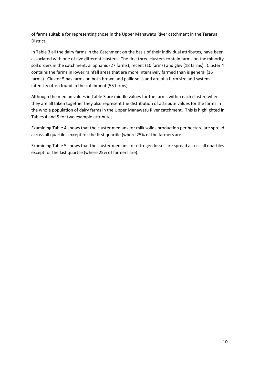of farms suitable for representing those in the Upper Manawatu River catchment in the Tararua District.

In Table 3 all the dairy farms in the Catchment on the basis of their individual attributes, have been associated with one of five different clusters. The first three clusters contain farms on the minority soil orders in the catchment: allophanic (27 farms), recent (10 farms) and gley (18 farms). Cluster 4 contains the farms in lower rainfall areas that are more intensively farmed than is general (16 farms). Cluster 5 has farms on both brown and pallic soils and are of a farm size and system intensity often found in the catchment (55 farms).

Although the median values in Table 3 are middle values for the farms within each cluster, when they are all taken together they also represent the distribution of attribute values for the farms in the whole population of dairy farms in the Upper Manawatu River catchment. This is highlighted in Tables 4 and 5 for two example attributes.

Examining Table 4 shows that the cluster medians for milk solids production per hectare are spread across all quartiles except for the first quartile (where 25% of the farmers are).

Examining Table 5 shows that the cluster medians for nitrogen losses are spread across all quartiles except for the last quartile (where 25% of farmers are).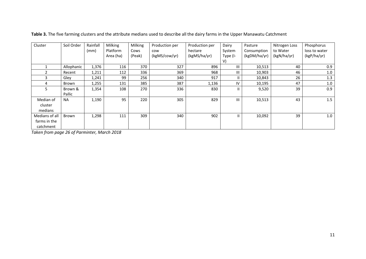| Cluster        | Soil Order | Rainfall | Milking         | Milking | Production per | Production per | Dairy    | Pasture      | Nitrogen Loss | Phosphorus    |
|----------------|------------|----------|-----------------|---------|----------------|----------------|----------|--------------|---------------|---------------|
|                |            | (mm)     | <b>Platform</b> | Cows    | cow            | hectare        | System   | Consumption  | to Water      | loss to water |
|                |            |          | Area (ha)       | (Peak)  | (kgMS/cow/yr)  | (kgMS/ha/yr)   | Type (I- | (kgDM/ha/yr) | (kgN/ha/yr)   | (kgP/ha/yr)   |
|                |            |          |                 |         |                |                | V)       |              |               |               |
|                | Allophanic | 1,376    | 116             | 370     | 327            | 896            | Ш        | 10,513       | 40            | 0.9           |
| $\overline{2}$ | Recent     | 1,211    | 112             | 336     | 369            | 968            | Ш        | 10,903       | 46            | 1.0           |
| 3              | Gley       | 1,241    | 99              | 256     | 340            | 917            | Ш.       | 10,843       | 26            | 1.3           |
| 4              | Brown      | 1,255    | 131             | 385     | 387            | 1,136          | IV       | 10,195       | 47            | 1.0           |
| 5.             | Brown &    | 1,354    | 108             | 270     | 336            | 830            | Ш.       | 9,520        | 39            | 0.9           |
|                | Pallic     |          |                 |         |                |                |          |              |               |               |
| Median of      | <b>NA</b>  | 1,190    | 95              | 220     | 305            | 829            | Ш        | 10,513       | 43            | 1.5           |
| cluster        |            |          |                 |         |                |                |          |              |               |               |
| medians        |            |          |                 |         |                |                |          |              |               |               |
| Medians of all | Brown      | 1,298    | 111             | 309     | 340            | 902            | Ш.       | 10,092       | 39            | 1.0           |
| farms in the   |            |          |                 |         |                |                |          |              |               |               |
| catchment      |            |          |                 |         |                |                |          |              |               |               |

**Table 3.** The five farming clusters and the attribute medians used to describe all the dairy farms in the Upper Manawatu Catchment

*Taken from page 26 of Parminter, March 2018*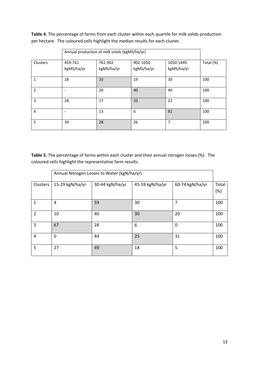**Table 4.** The percentage of farms from each cluster within each quartile for milk solids production per hectare. The coloured cells highlight the median results for each cluster.

|                |                       | Annual production of milk solids (kgMS/ha/yr) |                        |                         |           |  |  |  |
|----------------|-----------------------|-----------------------------------------------|------------------------|-------------------------|-----------|--|--|--|
| Clusters       | 459-761<br>kgMS/ha/yr | 761-902<br>kgMS/ha/yr                         | 902-1050<br>kgMS/ha/yr | 1050-1449<br>kgMS/ha/yr | Total (%) |  |  |  |
| 1              | 18                    | 33                                            | 19                     | 30                      | 100       |  |  |  |
| $\overline{2}$ |                       | 20                                            | 40                     | 40                      | 100       |  |  |  |
| 3              | 28                    | 17                                            | 33                     | 22                      | 100       |  |  |  |
| 4              | -                     | 13                                            | 6                      | 81                      | 100       |  |  |  |
| 5              | 39                    | 28                                            | 26                     | $\overline{7}$          | 100       |  |  |  |

**Table 5.** The percentage of farms within each cluster and their annual nitrogen losses (%). The coloured cells highlight the representative farm results.

|                | Annual Nitrogen Losses to Water (kgN/ha/yr) |                 |                 |                 |              |  |  |  |  |  |
|----------------|---------------------------------------------|-----------------|-----------------|-----------------|--------------|--|--|--|--|--|
| Clusters       | 15-29 kgN/ha/yr                             | 30-44 kgN/ha/yr | 45-59 kgN/ha/yr | 60-74 kgN/ha/yr | Total<br>(%) |  |  |  |  |  |
| $\mathbf{1}$   | 4                                           | 59              | 30              | 7               | 100          |  |  |  |  |  |
| 2              | 10                                          | 40              | 30              | 20              | 100          |  |  |  |  |  |
| 3              | 67                                          | 28              | 6               | $\mathbf{0}$    | 100          |  |  |  |  |  |
| $\overline{4}$ | 0                                           | 44              | 25              | 31              | 100          |  |  |  |  |  |
| 5              | 27                                          | 49              | 18              | 5               | 100          |  |  |  |  |  |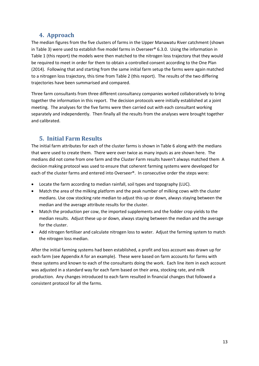#### **4. Approach**

<span id="page-12-0"></span>The median figures from the five clusters of farms in the Upper Manawatu River catchment (shown in Table 3) were used to establish five model farms in Overseer® 6.3.0. Using the information in Table 1 (this report) the models were then matched to the nitrogen loss trajectory that they would be required to meet in order for them to obtain a controlled consent according to the One Plan (2014). Following that and starting from the same initial farm setup the farms were again matched to a nitrogen loss trajectory, this time from Table 2 (this report). The results of the two differing trajectories have been summarised and compared.

Three farm consultants from three different consultancy companies worked collaboratively to bring together the information in this report. The decision protocols were initially established at a joint meeting. The analyses for the five farms were then carried out with each consultant working separately and independently. Then finally all the results from the analyses were brought together and calibrated.

## <span id="page-12-1"></span>**5. Initial Farm Results**

The initial farm attributes for each of the cluster farms is shown in Table 6 along with the medians that were used to create them. There were over twice as many inputs as are shown here. The medians did not come from one farm and the Cluster Farm results haven't always matched them A decision making protocol was used to ensure that coherent farming systems were developed for each of the cluster farms and entered into Overseer®. In consecutive order the steps were:

- Locate the farm according to median rainfall, soil types and topography (LUC).
- Match the area of the milking platform and the peak number of milking cows with the cluster medians. Use cow stocking rate median to adjust this up or down, always staying between the median and the average attribute results for the cluster.
- Match the production per cow, the imported supplements and the fodder crop yields to the median results. Adjust these up or down, always staying between the median and the average for the cluster.
- Add nitrogen fertiliser and calculate nitrogen loss to water. Adjust the farming system to match the nitrogen loss median.

After the initial farming systems had been established, a profit and loss account was drawn up for each farm (see Appendix A for an example). These were based on farm accounts for farms with these systems and known to each of the consultants doing the work. Each line item in each account was adjusted in a standard way for each farm based on their area, stocking rate, and milk production. Any changes introduced to each farm resulted in financial changes that followed a consistent protocol for all the farms.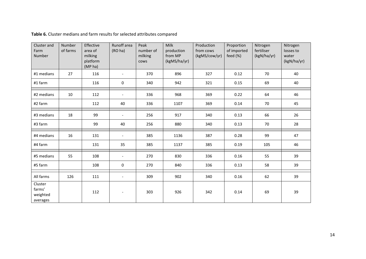| Cluster and<br>Farm<br>Number             | <b>Number</b><br>of farms | Effective<br>area of<br>milking<br>platform<br>(MP <sub>ha</sub> ) | Runoff area<br>(RO ha)   | Peak<br>number of<br>milking<br>cows | Milk<br>production<br>from MP<br>(kgMS/ha/yr) | Production<br>from cows<br>(kgMS/cow/yr) | Proportion<br>of imported<br>feed (%) | Nitrogen<br>fertiliser<br>(kgN/ha/yr) | Nitrogen<br>losses to<br>water<br>(kgN/ha/yr) |
|-------------------------------------------|---------------------------|--------------------------------------------------------------------|--------------------------|--------------------------------------|-----------------------------------------------|------------------------------------------|---------------------------------------|---------------------------------------|-----------------------------------------------|
| #1 medians                                | 27                        | 116                                                                | $\overline{\phantom{a}}$ | 370                                  | 896                                           | 327                                      | 0.12                                  | 70                                    | 40                                            |
| #1 farm                                   |                           | 116                                                                | 0                        | 340                                  | 942                                           | 321                                      | 0.15                                  | 69                                    | 40                                            |
| #2 medians                                | 10                        | 112                                                                | $\overline{\phantom{a}}$ | 336                                  | 968                                           | 369                                      | 0.22                                  | 64                                    | 46                                            |
| #2 farm                                   |                           | 112                                                                | 40                       | 336                                  | 1107                                          | 369                                      | 0.14                                  | 70                                    | 45                                            |
| #3 medians                                | 18                        | 99                                                                 | $\overline{\phantom{a}}$ | 256                                  | 917                                           | 340                                      | 0.13                                  | 66                                    | 26                                            |
| #3 farm                                   |                           | 99                                                                 | 40                       | 256                                  | 880                                           | 340                                      | 0.13                                  | 70                                    | 28                                            |
| #4 medians                                | 16                        | 131                                                                | $\blacksquare$           | 385                                  | 1136                                          | 387                                      | 0.28                                  | 99                                    | 47                                            |
| #4 farm                                   |                           | 131                                                                | 35                       | 385                                  | 1137                                          | 385                                      | 0.19                                  | 105                                   | 46                                            |
| #5 medians                                | 55                        | 108                                                                | $\blacksquare$           | 270                                  | 830                                           | 336                                      | 0.16                                  | 55                                    | 39                                            |
| #5 farm                                   |                           | 108                                                                | 0                        | 270                                  | 840                                           | 336                                      | 0.13                                  | 58                                    | 39                                            |
| All farms                                 | 126                       | 111                                                                | $\overline{\phantom{a}}$ | 309                                  | 902                                           | 340                                      | 0.16                                  | 62                                    | 39                                            |
| Cluster<br>farms'<br>weighted<br>averages |                           | 112                                                                | $\overline{\phantom{a}}$ | 303                                  | 926                                           | 342                                      | 0.14                                  | 69                                    | 39                                            |

**Table 6.** Cluster medians and farm results for selected attributes compared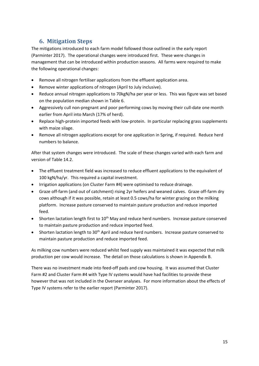## <span id="page-14-0"></span>**6. Mitigation Steps**

The mitigations introduced to each farm model followed those outlined in the early report (Parminter 2017). The operational changes were introduced first. These were changes in management that can be introduced within production seasons. All farms were required to make the following operational changes:

- Remove all nitrogen fertiliser applications from the effluent application area.
- Remove winter applications of nitrogen (April to July inclusive).
- Reduce annual nitrogen applications to 70kgN/ha per year or less. This was figure was set based on the population median shown in Table 6.
- Aggressively cull non-pregnant and poor performing cows by moving their cull-date one month earlier from April into March (17% of herd).
- Replace high-protein imported feeds with low-protein. In particular replacing grass supplements with maize silage.
- Remove all nitrogen applications except for one application in Spring, if required. Reduce herd numbers to balance.

After that system changes were introduced. The scale of these changes varied with each farm and version of Table 14.2.

- The effluent treatment field was increased to reduce effluent applications to the equivalent of 100 kgN/ha/yr. This required a capital investment.
- Irrigation applications (on Cluster Farm #4) were optimised to reduce drainage.
- Graze off-farm (and out of catchment) rising 2yr heifers and weaned calves. Graze off-farm dry cows although if it was possible, retain at least 0.5 cows/ha for winter grazing on the milking platform. Increase pasture conserved to maintain pasture production and reduce imported feed.
- Shorten lactation length first to 10<sup>th</sup> May and reduce herd numbers. Increase pasture conserved to maintain pasture production and reduce imported feed.
- Shorten lactation length to 30<sup>th</sup> April and reduce herd numbers. Increase pasture conserved to maintain pasture production and reduce imported feed.

As milking cow numbers were reduced whilst feed supply was maintained it was expected that milk production per cow would increase. The detail on those calculations is shown in Appendix B.

There was no investment made into feed-off pads and cow housing. It was assumed that Cluster Farm #2 and Cluster Farm #4 with Type IV systems would have had facilities to provide these however that was not included in the Overseer analyses. For more information about the effects of Type IV systems refer to the earlier report (Parminter 2017).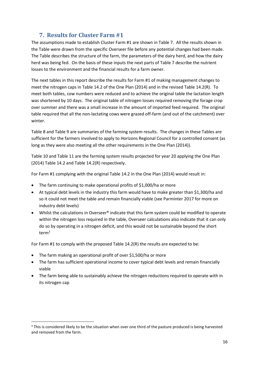## **7. Results for Cluster Farm #1**

<span id="page-15-0"></span>The assumptions made to establish Cluster Farm #1 are shown in Table 7. All the results shown in the Table were drawn from the specific Overseer file before any potential changes had been made. The Table describes the structure of the farm, the parameters of the dairy herd, and how the dairy herd was being fed. On the basis of these inputs the next parts of Table 7 describe the nutrient losses to the environment and the financial results for a farm owner.

The next tables in this report describe the results for Farm #1 of making management changes to meet the nitrogen caps in Table 14.2 of the One Plan (2014) and in the revised Table 14.2(R). To meet both tables, cow numbers were reduced and to achieve the original table the lactation length was shortened by 10 days. The original table of nitrogen losses required removing the forage crop over summer and there was a small increase in the amount of imported feed required. The original table required that all the non-lactating cows were grazed off-farm (and out of the catchment) over winter.

Table 8 and Table 9 are summaries of the farming system results. The changes in these Tables are sufficient for the farmers involved to apply to Horizons Regional Council for a controlled consent (as long as they were also meeting all the other requirements in the One Plan (2014)).

Table 10 and Table 11 are the farming system results projected for year 20 applying the One Plan (2014) Table 14.2 and Table 14.2(R) respectively.

For Farm #1 complying with the original Table 14.2 in the One Plan (2014) would result in:

- The farm continuing to make operational profits of \$1,000/ha or more
- At typical debt levels in the industry this farm would have to make greater than \$1,300/ha and so it could not meet the table and remain financially viable (see Parminter 2017 for more on industry debt levels)
- Whilst the calculations in Overseer® indicate that this farm system could be modified to operate within the nitrogen loss required in the table, Overseer calculations also indicate that it can only do so by operating in a nitrogen deficit, and this would not be sustainable beyond the short term<sup>3</sup>

For Farm #1 to comply with the proposed Table 14.2(R) the results are expected to be:

• The farm making an operational profit of over \$1,500/ha or more

 $\overline{\phantom{a}}$ 

- The farm has sufficient operational income to cover typical debt levels and remain financially viable
- The farm being able to sustainably achieve the nitrogen reductions required to operate with in its nitrogen cap

<sup>&</sup>lt;sup>3</sup> This is considered likely to be the situation when over one third of the pasture produced is being harvested and removed from the farm.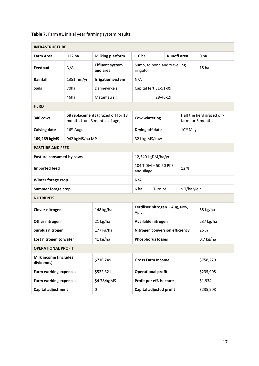| Table 7. Farm #1 initial year farming system results |
|------------------------------------------------------|
|------------------------------------------------------|

| <b>INFRASTRUCTURE</b>                      |                         |                                                                    |                                           |  |                    |                      |                           |  |
|--------------------------------------------|-------------------------|--------------------------------------------------------------------|-------------------------------------------|--|--------------------|----------------------|---------------------------|--|
| <b>Farm Area</b>                           | 122 ha                  | <b>Milking platform</b>                                            | 116 ha                                    |  | <b>Runoff</b> area |                      | 0 <sub>ha</sub>           |  |
| Feedpad                                    | N/A                     | <b>Effluent system</b><br>and area                                 | Sump, to pond and travelling<br>irrigator |  |                    |                      | 18 <sub>ha</sub>          |  |
| Rainfall                                   | 1351mm/yr               | <b>Irrigation system</b>                                           | N/A                                       |  |                    |                      |                           |  |
| <b>Soils</b>                               | 70 <sub>ha</sub>        | Dannevirke s.l.                                                    | Capital fert 31-51-09                     |  |                    |                      |                           |  |
|                                            | 46ha                    | Matamau s.l.                                                       | 28-46-19                                  |  |                    |                      |                           |  |
| <b>HERD</b>                                |                         |                                                                    |                                           |  |                    |                      |                           |  |
| 340 cows                                   |                         | 68 replacements (grazed off for 18<br>months from 3 months of age) | <b>Cow wintering</b>                      |  |                    | farm for 3 months    | Half the herd grazed off- |  |
| <b>Calving date</b>                        | 16 <sup>th</sup> August |                                                                    | Drying off date                           |  |                    | 10 <sup>th</sup> May |                           |  |
| 109,269 kgMS<br>942 kgMS/ha MP             |                         |                                                                    | 321 kg MS/cow                             |  |                    |                      |                           |  |
| <b>PASTURE AND FEED</b>                    |                         |                                                                    |                                           |  |                    |                      |                           |  |
| Pasture consumed by cows                   | 12,540 kgDM/ha/yr       |                                                                    |                                           |  |                    |                      |                           |  |
| <b>Imported feed</b>                       |                         |                                                                    | 104 T DM - 50:50 PKE<br>12%<br>and silage |  |                    |                      |                           |  |
| Winter forage crop                         |                         |                                                                    | N/A                                       |  |                    |                      |                           |  |
| <b>Summer forage crop</b>                  |                         |                                                                    | 6 ha<br>Turnips<br>9 T/ha yield           |  |                    |                      |                           |  |
| <b>NUTRIENTS</b>                           |                         |                                                                    |                                           |  |                    |                      |                           |  |
| Clover nitrogen                            |                         | 148 kg/ha                                                          | Fertiliser nitrogen - Aug, Nov,<br>Apr.   |  |                    |                      | 68 kg/ha                  |  |
| Other nitrogen                             |                         | 21 kg/ha                                                           | Available nitrogen                        |  |                    |                      | 237 kg/ha                 |  |
| Surplus nitrogen                           |                         | 177 kg/ha                                                          | Nitrogen conversion efficiency            |  |                    |                      | 26 %                      |  |
| Lost nitrogen to water                     |                         | 41 kg/ha                                                           | <b>Phosphorus losses</b>                  |  |                    |                      | $0.7$ kg/ha               |  |
| <b>OPERATIONAL PROFIT</b>                  |                         |                                                                    |                                           |  |                    |                      |                           |  |
| <b>Milk income (includes</b><br>dividends) |                         | \$710,249                                                          | <b>Gross Farm Income</b>                  |  |                    |                      | \$758,229                 |  |
| <b>Farm working expenses</b>               |                         | \$522,321                                                          | <b>Operational profit</b>                 |  |                    |                      | \$235,908                 |  |
| <b>Farm working expenses</b>               |                         | \$4.78/kgMS                                                        | Profit per eff. hectare                   |  |                    |                      | \$1,934                   |  |
| Capital adjustment                         |                         | 0                                                                  | Capital adjusted profit                   |  |                    | \$235,908            |                           |  |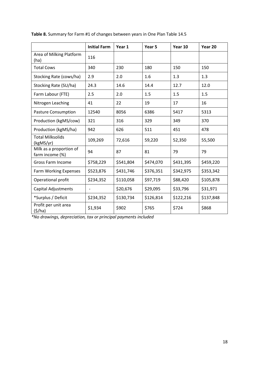|                                            | <b>Initial Farm</b>      | Year 1    | Year 5    | Year 10   | Year 20   |
|--------------------------------------------|--------------------------|-----------|-----------|-----------|-----------|
| Area of Milking Platform<br>(ha)           | 116                      |           |           |           |           |
| <b>Total Cows</b>                          | 340                      | 230       | 180       | 150       | 150       |
| Stocking Rate (cows/ha)                    | 2.9                      | 2.0       | 1.6       | 1.3       | 1.3       |
| Stocking Rate (SU/ha)                      | 24.3                     | 14.6      | 14.4      | 12.7      | 12.0      |
| Farm Labour (FTE)                          | 2.5                      | 2.0       | 1.5       | 1.5       | 1.5       |
| Nitrogen Leaching                          | 41                       | 22        | 19        | 17        | 16        |
| <b>Pasture Consumption</b>                 | 12540                    | 8056      | 6386      | 5417      | 5313      |
| Production (kgMS/cow)                      | 321                      | 316       | 329       | 349       | 370       |
| Production (kgMS/ha)                       | 942                      | 626       | 511       | 451       | 478       |
| <b>Total Milksolids</b><br>(kgMS/yr)       | 109,269                  | 72,616    | 59,220    | 52,350    | 55,500    |
| Milk as a proportion of<br>farm income (%) | 94                       | 87        | 81        | 79        | 79        |
| Gross Farm Income                          | \$758,229                | \$541,804 | \$474,070 | \$431,395 | \$459,220 |
| <b>Farm Working Expenses</b>               | \$523,876                | \$431,746 | \$376,351 | \$342,975 | \$353,342 |
| Operational profit                         | \$234,352                | \$110,058 | \$97,719  | \$88,420  | \$105,878 |
| <b>Capital Adjustments</b>                 | $\overline{\phantom{0}}$ | \$20,676  | \$29,095  | \$33,796  | \$31,971  |
| *Surplus / Deficit                         | \$234,352                | \$130,734 | \$126,814 | \$122,216 | \$137,848 |
| Profit per unit area<br>(5/ha)             | \$1,934                  | \$902     | \$765     | \$724     | \$868     |

**Table 8.** Summary for Farm #1 of changes between years in One Plan Table 14.5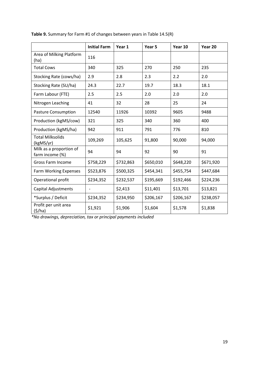|                                            | <b>Initial Farm</b> | Year 1    | Year 5    | Year 10   | Year 20   |
|--------------------------------------------|---------------------|-----------|-----------|-----------|-----------|
| Area of Milking Platform<br>(ha)           | 116                 |           |           |           |           |
| <b>Total Cows</b>                          | 340                 | 325       | 270       | 250       | 235       |
| Stocking Rate (cows/ha)                    | 2.9                 | 2.8       | 2.3       | 2.2       | 2.0       |
| Stocking Rate (SU/ha)                      | 24.3                | 22.7      | 19.7      | 18.3      | 18.1      |
| Farm Labour (FTE)                          | 2.5                 | 2.5       | 2.0       | 2.0       | 2.0       |
| Nitrogen Leaching                          | 41                  | 32        | 28        | 25        | 24        |
| <b>Pasture Consumption</b>                 | 12540               | 11926     | 10392     | 9605      | 9488      |
| Production (kgMS/cow)                      | 321                 | 325       | 340       | 360       | 400       |
| Production (kgMS/ha)                       | 942                 | 911       | 791       | 776       | 810       |
| <b>Total Milksolids</b><br>(kgMS/yr)       | 109,269             | 105,625   | 91,800    | 90,000    | 94,000    |
| Milk as a proportion of<br>farm income (%) | 94                  | 94        | 92        | 90        | 91        |
| <b>Gross Farm Income</b>                   | \$758,229           | \$732,863 | \$650,010 | \$648,220 | \$671,920 |
| <b>Farm Working Expenses</b>               | \$523,876           | \$500,325 | \$454,341 | \$455,754 | \$447,684 |
| Operational profit                         | \$234,352           | \$232,537 | \$195,669 | \$192,466 | \$224,236 |
| <b>Capital Adjustments</b>                 | $\overline{a}$      | \$2,413   | \$11,401  | \$13,701  | \$13,821  |
| *Surplus / Deficit                         | \$234,352           | \$234,950 | \$206,167 | \$206,167 | \$238,057 |
| Profit per unit area<br>(5/ha)             | \$1,921             | \$1,906   | \$1,604   | \$1,578   | \$1,838   |

**Table 9.** Summary for Farm #1 of changes between years in Table 14.5(R)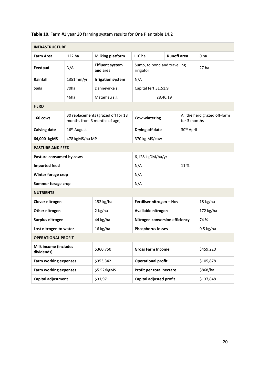| <b>INFRASTRUCTURE</b>                      |                                       |                                                                    |                                           |                      |                    |                        |                              |  |
|--------------------------------------------|---------------------------------------|--------------------------------------------------------------------|-------------------------------------------|----------------------|--------------------|------------------------|------------------------------|--|
| <b>Farm Area</b>                           | 122 ha                                | <b>Milking platform</b>                                            | 116 ha                                    |                      | <b>Runoff</b> area |                        | 0 <sub>ha</sub>              |  |
| Feedpad                                    | N/A                                   | <b>Effluent system</b><br>and area                                 | Sump, to pond and travelling<br>irrigator |                      |                    |                        | 27 <sub>ha</sub>             |  |
| Rainfall                                   | 1351mm/yr<br><b>Irrigation system</b> |                                                                    |                                           |                      |                    |                        |                              |  |
| <b>Soils</b>                               | 70 <sub>ha</sub>                      | Dannevirke s.l.                                                    |                                           | Capital fert 31.51.9 |                    |                        |                              |  |
|                                            | 46ha                                  | Matamau s.l.                                                       | 28.46.19                                  |                      |                    |                        |                              |  |
| <b>HERD</b>                                |                                       |                                                                    |                                           |                      |                    |                        |                              |  |
| 160 cows                                   |                                       | 30 replacements (grazed off for 18<br>months from 3 months of age) | <b>Cow wintering</b>                      |                      |                    | for 3 months           | All the herd grazed off-farm |  |
| <b>Calving date</b>                        | 16 <sup>th</sup> August               |                                                                    |                                           | Drying off date      |                    | 30 <sup>th</sup> April |                              |  |
| 64,000 kgMS                                | 478 kgMS/ha MP                        |                                                                    | 370 kg MS/cow                             |                      |                    |                        |                              |  |
| <b>PASTURE AND FEED</b>                    |                                       |                                                                    |                                           |                      |                    |                        |                              |  |
| Pasture consumed by cows                   | 6,128 kgDM/ha/yr                      |                                                                    |                                           |                      |                    |                        |                              |  |
| <b>Imported feed</b>                       |                                       |                                                                    | N/A<br>11%                                |                      |                    |                        |                              |  |
| Winter forage crop                         |                                       |                                                                    | N/A                                       |                      |                    |                        |                              |  |
| <b>Summer forage crop</b>                  |                                       |                                                                    | N/A                                       |                      |                    |                        |                              |  |
| <b>NUTRIENTS</b>                           |                                       |                                                                    |                                           |                      |                    |                        |                              |  |
| Clover nitrogen                            |                                       | 152 kg/ha                                                          | Fertiliser nitrogen - Nov                 |                      |                    |                        | 18 kg/ha                     |  |
| Other nitrogen                             |                                       | 2 kg/ha                                                            | Available nitrogen                        |                      |                    |                        | 172 kg/ha                    |  |
| Surplus nitrogen                           |                                       | 44 kg/ha                                                           | Nitrogen conversion efficiency            |                      |                    |                        | 74 %                         |  |
| Lost nitrogen to water                     |                                       | 16 kg/ha                                                           | <b>Phosphorus losses</b>                  |                      |                    |                        | $0.5$ kg/ha                  |  |
| <b>OPERATIONAL PROFIT</b>                  |                                       |                                                                    |                                           |                      |                    |                        |                              |  |
| <b>Milk income (includes</b><br>dividends) |                                       | \$360,750                                                          | <b>Gross Farm Income</b>                  |                      |                    |                        | \$459,220                    |  |
| <b>Farm working expenses</b><br>\$353,342  |                                       |                                                                    | <b>Operational profit</b>                 |                      |                    |                        | \$105,878                    |  |
| <b>Farm working expenses</b>               |                                       | \$5.52/kgMS                                                        | Profit per total hectare                  |                      |                    |                        | \$868/ha                     |  |
| <b>Capital adjustment</b>                  |                                       | \$31,971                                                           | Capital adjusted profit                   |                      |                    |                        | \$137,848                    |  |

**Table 10.** Farm #1 year 20 farming system results for One Plan table 14.2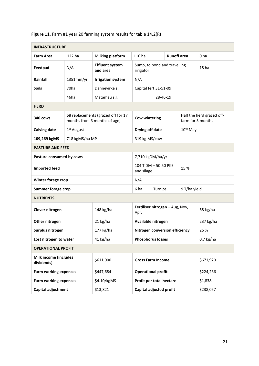|                                            | <b>INFRASTRUCTURE</b> |                                                                    |                                           |          |                    |               |                                                |  |
|--------------------------------------------|-----------------------|--------------------------------------------------------------------|-------------------------------------------|----------|--------------------|---------------|------------------------------------------------|--|
| <b>Farm Area</b>                           | 122 ha                | <b>Milking platform</b>                                            | 116 ha                                    |          | <b>Runoff</b> area |               | 0 <sub>ha</sub>                                |  |
| Feedpad                                    | N/A                   | <b>Effluent system</b><br>and area                                 | Sump, to pond and travelling<br>irrigator |          |                    |               | 18 <sub>ha</sub>                               |  |
| Rainfall                                   | 1351mm/yr             | <b>Irrigation system</b>                                           | N/A                                       |          |                    |               |                                                |  |
| <b>Soils</b>                               | 70 <sub>ha</sub>      | Dannevirke s.l.                                                    | Capital fert 31-51-09                     |          |                    |               |                                                |  |
|                                            | 46ha                  | Matamau s.l.                                                       |                                           | 28-46-19 |                    |               |                                                |  |
| <b>HERD</b>                                |                       |                                                                    |                                           |          |                    |               |                                                |  |
| 340 cows                                   |                       | 68 replacements (grazed off for 17<br>months from 3 months of age) | <b>Cow wintering</b>                      |          |                    |               | Half the herd grazed off-<br>farm for 3 months |  |
| <b>Calving date</b>                        | $1st$ August          |                                                                    | Drying off date                           |          |                    | $10^{th}$ May |                                                |  |
| 109,269 kgMS                               | 718 kgMS/ha MP        |                                                                    | 319 kg MS/cow                             |          |                    |               |                                                |  |
| <b>PASTURE AND FEED</b>                    |                       |                                                                    |                                           |          |                    |               |                                                |  |
| Pasture consumed by cows                   |                       |                                                                    | 7,710 kgDM/ha/yr                          |          |                    |               |                                                |  |
| <b>Imported feed</b>                       |                       |                                                                    | 104 T DM - 50:50 PKE<br>and silage        |          | 15 %               |               |                                                |  |
| Winter forage crop                         |                       |                                                                    | N/A                                       |          |                    |               |                                                |  |
| <b>Summer forage crop</b>                  |                       |                                                                    | 6 ha<br>Turnips                           |          | 9 T/ha yield       |               |                                                |  |
| <b>NUTRIENTS</b>                           |                       |                                                                    |                                           |          |                    |               |                                                |  |
| Clover nitrogen                            |                       | 148 kg/ha                                                          | Fertiliser nitrogen - Aug, Nov,<br>Apr.   |          |                    |               | 68 kg/ha                                       |  |
| Other nitrogen                             |                       | 21 kg/ha                                                           | Available nitrogen                        |          |                    |               | 237 kg/ha                                      |  |
| Surplus nitrogen                           |                       | 177 kg/ha                                                          | Nitrogen conversion efficiency            |          |                    |               | 26 %                                           |  |
| Lost nitrogen to water                     |                       | 41 kg/ha                                                           | <b>Phosphorus losses</b>                  |          |                    |               | $0.7$ kg/ha                                    |  |
| <b>OPERATIONAL PROFIT</b>                  |                       |                                                                    |                                           |          |                    |               |                                                |  |
| <b>Milk income (includes</b><br>dividends) |                       | \$611,000                                                          | <b>Gross Farm Income</b>                  |          |                    | \$671,920     |                                                |  |
| <b>Farm working expenses</b>               |                       | \$447,684                                                          | <b>Operational profit</b>                 |          |                    |               | \$224,236                                      |  |
| <b>Farm working expenses</b>               |                       | \$4.10/kgMS                                                        | Profit per total hectare                  |          |                    |               | \$1,838                                        |  |
| Capital adjustment                         |                       | \$13,821                                                           | Capital adjusted profit                   |          |                    | \$238,057     |                                                |  |

## **Figure 11.** Farm #1 year 20 farming system results for table 14.2(R)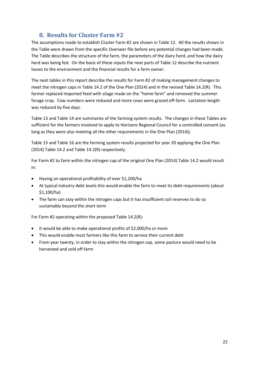## **8. Results for Cluster Farm #2**

<span id="page-21-0"></span>The assumptions made to establish Cluster Farm #2 are shown in Table 12. All the results shown in the Table were drawn from the specific Overseer file before any potential changes had been made. The Table describes the structure of the farm, the parameters of the dairy herd, and how the dairy herd was being fed. On the basis of these inputs the next parts of Table 12 describe the nutrient losses to the environment and the financial results for a farm owner.

The next tables in this report describe the results for Farm #2 of making management changes to meet the nitrogen caps in Table 14.2 of the One Plan (2014) and in the revised Table 14.2(R). This farmer replaced imported feed with silage made on the "home farm" and removed the summer forage crop. Cow numbers were reduced and more cows were grazed off-farm. Lactation length was reduced by five days.

Table 13 and Table 14 are summaries of the farming system results. The changes in these Tables are sufficient for the farmers involved to apply to Horizons Regional Council for a controlled consent (as long as they were also meeting all the other requirements in the One Plan (2014)).

Table 15 and Table 16 are the farming system results projected for year 20 applying the One Plan (2014) Table 14.2 and Table 14.2(R) respectively.

For Farm #2 to farm within the nitrogen cap of the original One Plan (2014) Table 14.2 would result in:

- Having an operational profitability of over \$1,200/ha
- At typical industry debt levels this would enable the farm to meet its debt requirements (about \$1,100/ha)
- The farm can stay within the nitrogen caps but it has insufficient soil reserves to do so sustainably beyond the short term

For Farm #2 operating within the proposed Table 14.2(R):

- It would be able to make operational profits of \$2,000/ha or more
- This would enable most farmers like this farm to service their current debt
- From year twenty, in order to stay within the nitrogen cap, some pasture would need to be harvested and sold off-farm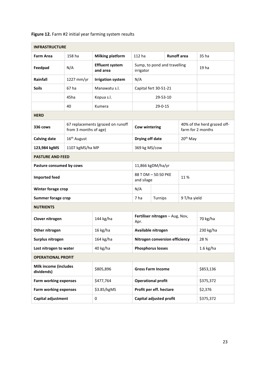|                                            | <b>INFRASTRUCTURE</b>   |                                    |                                       |                                 |                      |                                                  |  |  |
|--------------------------------------------|-------------------------|------------------------------------|---------------------------------------|---------------------------------|----------------------|--------------------------------------------------|--|--|
| <b>Farm Area</b>                           | 158 ha                  | <b>Milking platform</b>            | 112 ha                                | <b>Runoff</b> area              |                      | 35 ha                                            |  |  |
| Feedpad                                    | N/A                     | <b>Effluent system</b><br>and area | irrigator                             | Sump, to pond and travelling    |                      | 19 ha                                            |  |  |
| Rainfall                                   | 1227 mm/yr              | <b>Irrigation system</b>           | N/A                                   |                                 |                      |                                                  |  |  |
| <b>Soils</b>                               | 67 ha                   | Manawatu s.l.                      |                                       | Capital fert 30-51-21           |                      |                                                  |  |  |
|                                            | 45ha                    | Kopua s.l.                         |                                       | 29-53-10                        |                      |                                                  |  |  |
|                                            | 40                      | Kumera                             |                                       | 29-0-15                         |                      |                                                  |  |  |
| <b>HERD</b>                                |                         |                                    |                                       |                                 |                      |                                                  |  |  |
| 336 cows                                   | from 3 months of age)   | 67 replacements (grazed on runoff  | Cow wintering                         |                                 |                      | 40% of the herd grazed off-<br>farm for 2 months |  |  |
| <b>Calving date</b>                        | 16 <sup>th</sup> August |                                    | Drying off date                       |                                 | 20 <sup>th</sup> May |                                                  |  |  |
| 123,984 kgMS                               | 1107 kgMS/ha MP         |                                    | 369 kg MS/cow                         |                                 |                      |                                                  |  |  |
| <b>PASTURE AND FEED</b>                    |                         |                                    |                                       |                                 |                      |                                                  |  |  |
| Pasture consumed by cows                   |                         |                                    |                                       | 11,866 kgDM/ha/yr               |                      |                                                  |  |  |
| <b>Imported feed</b>                       |                         |                                    | 88 T DM - 50:50 PKE<br>and silage     |                                 | 11%                  |                                                  |  |  |
| Winter forage crop                         |                         |                                    | N/A                                   |                                 |                      |                                                  |  |  |
| <b>Summer forage crop</b>                  |                         |                                    | 7 ha<br>9 T/ha yield<br>Turnips       |                                 |                      |                                                  |  |  |
| <b>NUTRIENTS</b>                           |                         |                                    |                                       |                                 |                      |                                                  |  |  |
| Clover nitrogen                            |                         | 144 kg/ha                          | Apr.                                  | Fertiliser nitrogen - Aug, Nov, |                      | 70 kg/ha                                         |  |  |
| Other nitrogen                             |                         | 16 kg/ha                           |                                       | Available nitrogen              |                      | 230 kg/ha                                        |  |  |
| Surplus nitrogen                           |                         | 164 kg/ha                          |                                       | Nitrogen conversion efficiency  |                      | 28 %                                             |  |  |
| Lost nitrogen to water                     |                         | 40 kg/ha                           |                                       | <b>Phosphorus losses</b>        |                      | $1.6$ kg/ha                                      |  |  |
| <b>OPERATIONAL PROFIT</b>                  |                         |                                    |                                       |                                 |                      |                                                  |  |  |
| <b>Milk income (includes</b><br>dividends) |                         | \$805,896                          | <b>Gross Farm Income</b><br>\$853,136 |                                 |                      |                                                  |  |  |
| <b>Farm working expenses</b>               |                         | \$477,764                          |                                       | <b>Operational profit</b>       |                      | \$375,372                                        |  |  |
| <b>Farm working expenses</b>               |                         | \$3.85/kgMS                        |                                       | Profit per eff. hectare         |                      | \$2,376                                          |  |  |
| Capital adjustment                         |                         | 0                                  | Capital adjusted profit<br>\$375,372  |                                 |                      |                                                  |  |  |

#### **Figure 12.** Farm #2 initial year farming system results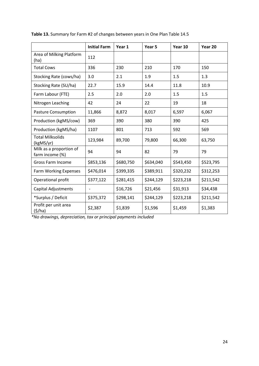|                                            | <b>Initial Farm</b>      | Year 1    | Year 5    | Year 10   | Year 20   |
|--------------------------------------------|--------------------------|-----------|-----------|-----------|-----------|
| Area of Milking Platform<br>(ha)           | 112                      |           |           |           |           |
| <b>Total Cows</b>                          | 336                      | 230       | 210       | 170       | 150       |
| Stocking Rate (cows/ha)                    | 3.0                      | 2.1       | 1.9       | 1.5       | 1.3       |
| Stocking Rate (SU/ha)                      | 22.7                     | 15.9      | 14.4      | 11.8      | 10.9      |
| Farm Labour (FTE)                          | 2.5                      | 2.0       | 2.0       | 1.5       | 1.5       |
| Nitrogen Leaching                          | 42                       | 24        | 22        | 19        | 18        |
| <b>Pasture Consumption</b>                 | 11,866                   | 8,872     | 8,017     | 6,597     | 6,067     |
| Production (kgMS/cow)                      | 369                      | 390       | 380       | 390       | 425       |
| Production (kgMS/ha)                       | 1107                     | 801       | 713       | 592       | 569       |
| <b>Total Milksolids</b><br>(kgMS/yr)       | 123,984                  | 89,700    | 79,800    | 66,300    | 63,750    |
| Milk as a proportion of<br>farm income (%) | 94                       | 94        | 82        | 79        | 79        |
| Gross Farm Income                          | \$853,136                | \$680,750 | \$634,040 | \$543,450 | \$523,795 |
| <b>Farm Working Expenses</b>               | \$476,014                | \$399,335 | \$389,911 | \$320,232 | \$312,253 |
| Operational profit                         | \$377,122                | \$281,415 | \$244,129 | \$223,218 | \$211,542 |
| <b>Capital Adjustments</b>                 | $\overline{\phantom{0}}$ | \$16,726  | \$21,456  | \$31,913  | \$34,438  |
| *Surplus / Deficit                         | \$375,372                | \$298,141 | \$244,129 | \$223,218 | \$211,542 |
| Profit per unit area<br>(5/ha)             | \$2,387                  | \$1,839   | \$1,596   | \$1,459   | \$1,383   |

**Table 13.** Summary for Farm #2 of changes between years in One Plan Table 14.5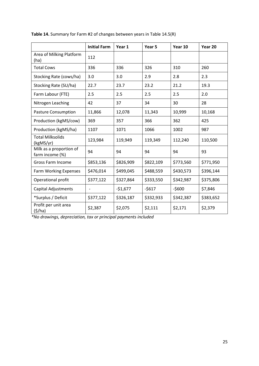|                                            | <b>Initial Farm</b> | Year 1    | Year 5    | Year 10   | Year 20   |
|--------------------------------------------|---------------------|-----------|-----------|-----------|-----------|
| Area of Milking Platform<br>(ha)           | 112                 |           |           |           |           |
| <b>Total Cows</b>                          | 336                 | 336       | 326       | 310       | 260       |
| Stocking Rate (cows/ha)                    | 3.0                 | 3.0       | 2.9       | 2.8       | 2.3       |
| Stocking Rate (SU/ha)                      | 22.7                | 23.7      | 23.2      | 21.2      | 19.3      |
| Farm Labour (FTE)                          | 2.5                 | 2.5       | 2.5       | 2.5       | 2.0       |
| Nitrogen Leaching                          | 42                  | 37        | 34        | 30        | 28        |
| <b>Pasture Consumption</b>                 | 11,866              | 12,078    | 11,343    | 10,999    | 10,168    |
| Production (kgMS/cow)                      | 369                 | 357       | 366       | 362       | 425       |
| Production (kgMS/ha)                       | 1107                | 1071      | 1066      | 1002      | 987       |
| <b>Total Milksolids</b><br>(kgMS/yr)       | 123,984             | 119,949   | 119,349   | 112,240   | 110,500   |
| Milk as a proportion of<br>farm income (%) | 94                  | 94        | 94        | 94        | 93        |
| <b>Gross Farm Income</b>                   | \$853,136           | \$826,909 | \$822,109 | \$773,560 | \$771,950 |
| <b>Farm Working Expenses</b>               | \$476,014           | \$499,045 | \$488,559 | \$430,573 | \$396,144 |
| Operational profit                         | \$377,122           | \$327,864 | \$333,550 | \$342,987 | \$375,806 |
| <b>Capital Adjustments</b>                 | $\overline{a}$      | $-51,677$ | $-5617$   | $-5600$   | \$7,846   |
| *Surplus / Deficit                         | \$377,122           | \$326,187 | \$332,933 | \$342,387 | \$383,652 |
| Profit per unit area<br>(5/ha)             | \$2,387             | \$2,075   | \$2,111   | \$2,171   | \$2,379   |

**Table 14.** Summary for Farm #2 of changes between years in Table 14.5(R)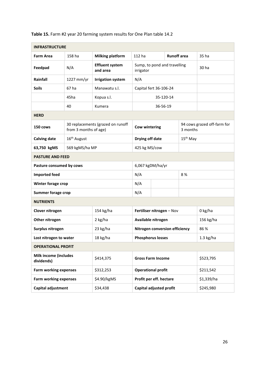|                                            | <b>INFRASTRUCTURE</b>   |                                    |                                           |               |                    |                      |                             |  |
|--------------------------------------------|-------------------------|------------------------------------|-------------------------------------------|---------------|--------------------|----------------------|-----------------------------|--|
| <b>Farm Area</b>                           | 158 ha                  | <b>Milking platform</b>            | 112 ha                                    |               | <b>Runoff</b> area |                      | 35 ha                       |  |
| Feedpad                                    | N/A                     | <b>Effluent system</b><br>and area | Sump, to pond and travelling<br>irrigator |               |                    |                      | 30 ha                       |  |
| Rainfall                                   | 1227 mm/yr              | <b>Irrigation system</b>           | N/A                                       |               |                    |                      |                             |  |
| <b>Soils</b>                               | 67 ha                   | Manawatu s.l.                      | Capital fert 36-106-24                    |               |                    |                      |                             |  |
|                                            | 45ha                    | Kopua s.l.                         |                                           | 35-120-14     |                    |                      |                             |  |
|                                            | 40                      | Kumera                             |                                           | 36-56-19      |                    |                      |                             |  |
| <b>HERD</b>                                |                         |                                    |                                           |               |                    |                      |                             |  |
| 150 cows                                   | from 3 months of age)   | 30 replacements (grazed on runoff  | <b>Cow wintering</b>                      |               |                    | 3 months             | 94 cows grazed off-farm for |  |
| <b>Calving date</b>                        | 16 <sup>th</sup> August |                                    | Drying off date                           |               |                    | 15 <sup>th</sup> May |                             |  |
| 63,750 kgMS                                | 569 kgMS/ha MP          |                                    |                                           | 425 kg MS/cow |                    |                      |                             |  |
| <b>PASTURE AND FEED</b>                    |                         |                                    |                                           |               |                    |                      |                             |  |
| Pasture consumed by cows                   |                         |                                    | 6,067 kgDM/ha/yr                          |               |                    |                      |                             |  |
| <b>Imported feed</b>                       |                         |                                    | N/A                                       |               | 8%                 |                      |                             |  |
| Winter forage crop                         |                         |                                    | N/A                                       |               |                    |                      |                             |  |
| <b>Summer forage crop</b>                  |                         |                                    | N/A                                       |               |                    |                      |                             |  |
| <b>NUTRIENTS</b>                           |                         |                                    |                                           |               |                    |                      |                             |  |
| Clover nitrogen                            |                         | 154 kg/ha                          | Fertiliser nitrogen - Nov                 |               |                    |                      | 0 kg/ha                     |  |
| Other nitrogen                             |                         | 2 kg/ha                            | Available nitrogen                        |               |                    |                      | 156 kg/ha                   |  |
| Surplus nitrogen                           |                         | 23 kg/ha                           | Nitrogen conversion efficiency            |               |                    |                      | 86 %                        |  |
| Lost nitrogen to water                     |                         | 18 kg/ha                           | <b>Phosphorus losses</b>                  |               |                    |                      | $1.3$ kg/ha                 |  |
| <b>OPERATIONAL PROFIT</b>                  |                         |                                    |                                           |               |                    |                      |                             |  |
| <b>Milk income (includes</b><br>dividends) |                         | \$414,375                          | <b>Gross Farm Income</b>                  |               |                    | \$523,795            |                             |  |
| <b>Farm working expenses</b>               |                         | \$312,253                          | <b>Operational profit</b>                 |               |                    |                      | \$211,542                   |  |
| Farm working expenses                      |                         | \$4.90/kgMS                        | Profit per eff. hectare                   |               |                    |                      | \$1,339/ha                  |  |
| Capital adjustment                         |                         | \$34,438                           | Capital adjusted profit                   |               |                    | \$245,980            |                             |  |

#### **Table 15.** Farm #2 year 20 farming system results for One Plan table 14.2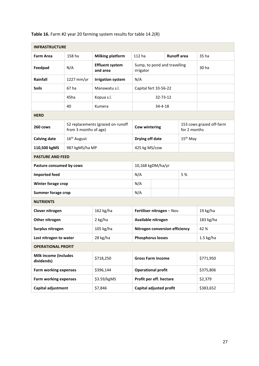| <b>INFRASTRUCTURE</b>                      |                         |                                    |                                           |               |                    |                      |                          |  |
|--------------------------------------------|-------------------------|------------------------------------|-------------------------------------------|---------------|--------------------|----------------------|--------------------------|--|
| <b>Farm Area</b>                           | 158 ha                  | <b>Milking platform</b>            | 112 ha                                    |               | <b>Runoff</b> area |                      | 35 ha                    |  |
| Feedpad                                    | N/A                     | <b>Effluent system</b><br>and area | Sump, to pond and travelling<br>irrigator |               |                    |                      | 30 ha                    |  |
| Rainfall                                   | 1227 mm/yr              | <b>Irrigation system</b>           | N/A                                       |               |                    |                      |                          |  |
| <b>Soils</b>                               | 67 ha                   | Manawatu s.l.                      | Capital fert 33-56-22                     |               |                    |                      |                          |  |
|                                            | 45ha                    | Kopua s.l.                         |                                           | 32-73-12      |                    |                      |                          |  |
|                                            | 40                      | Kumera                             |                                           | $34 - 4 - 18$ |                    |                      |                          |  |
| <b>HERD</b>                                |                         |                                    |                                           |               |                    |                      |                          |  |
| 260 cows                                   | from 3 months of age)   | 52 replacements (grazed on runoff  | <b>Cow wintering</b>                      |               |                    | for 2 months         | 153 cows grazed off-farm |  |
| <b>Calving date</b>                        | 16 <sup>th</sup> August |                                    | Drying off date                           |               |                    | 15 <sup>th</sup> May |                          |  |
| 110,500 kgMS                               | 987 kgMS/ha MP          |                                    |                                           | 425 kg MS/cow |                    |                      |                          |  |
| <b>PASTURE AND FEED</b>                    |                         |                                    |                                           |               |                    |                      |                          |  |
| Pasture consumed by cows                   |                         |                                    | 10,168 kgDM/ha/yr                         |               |                    |                      |                          |  |
| <b>Imported feed</b>                       |                         |                                    | N/A                                       |               | 5 %                |                      |                          |  |
| Winter forage crop                         |                         |                                    | N/A                                       |               |                    |                      |                          |  |
| <b>Summer forage crop</b>                  |                         |                                    | N/A                                       |               |                    |                      |                          |  |
| <b>NUTRIENTS</b>                           |                         |                                    |                                           |               |                    |                      |                          |  |
| Clover nitrogen                            |                         | 162 kg/ha                          | Fertiliser nitrogen - Nov.                |               |                    |                      | 19 kg/ha                 |  |
| Other nitrogen                             |                         | 2 kg/ha                            | Available nitrogen                        |               |                    |                      | 183 kg/ha                |  |
| Surplus nitrogen                           |                         | 105 kg/ha                          | Nitrogen conversion efficiency            |               |                    |                      | 42 %                     |  |
| Lost nitrogen to water                     |                         | 28 kg/ha                           | <b>Phosphorus losses</b>                  |               |                    |                      | $1.5 \text{ kg/ha}$      |  |
| <b>OPERATIONAL PROFIT</b>                  |                         |                                    |                                           |               |                    |                      |                          |  |
| <b>Milk income (includes</b><br>dividends) |                         | \$718,250                          | \$771,950<br><b>Gross Farm Income</b>     |               |                    |                      |                          |  |
| <b>Farm working expenses</b>               |                         | \$396,144                          | <b>Operational profit</b>                 |               |                    |                      | \$375,806                |  |
| <b>Farm working expenses</b>               |                         | \$3.59/kgMS                        | Profit per eff. hectare                   |               |                    |                      | \$2,379                  |  |
| Capital adjustment                         |                         | \$7,846                            | Capital adjusted profit                   |               |                    |                      | \$383,652                |  |

#### **Table 16.** Farm #2 year 20 farming system results for table 14.2(R)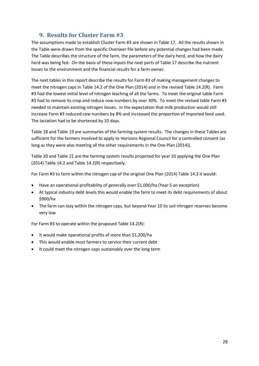## **9. Results for Cluster Farm #3**

<span id="page-27-0"></span>The assumptions made to establish Cluster Farm #3 are shown in Table 17. All the results shown in the Table were drawn from the specific Overseer file before any potential changes had been made. The Table describes the structure of the farm, the parameters of the dairy herd, and how the dairy herd was being fed. On the basis of these inputs the next parts of Table 17 describe the nutrient losses to the environment and the financial results for a farm owner.

The next tables in this report describe the results for Farm #3 of making management changes to meet the nitrogen caps in Table 14.2 of the One Plan (2014) and in the revised Table 14.2(R). Farm #3 had the lowest initial level of nitrogen leaching of all the farms. To meet the original table Farm #3 had to remove its crop and reduce cow numbers by over 30%. To meet the revised table Farm #3 needed to maintain existing nitrogen losses. In the expectation that milk production would still increase Farm #3 reduced cow numbers by 8% and increased the proportion of imported feed used. The lactation had to be shortened by 10 days.

Table 18 and Table 19 are summaries of the farming system results. The changes in these Tables are sufficient for the farmers involved to apply to Horizons Regional Council for a controlled consent (as long as they were also meeting all the other requirements in the One Plan (2014)).

Table 20 and Table 21 are the farming system results projected for year 20 applying the One Plan (2014) Table 14.2 and Table 14.2(R) respectively.

For Farm #3 to farm within the nitrogen cap of the original One Plan (2014) Table 14.2 it would:

- Have an operational profitability of generally over \$1,000/ha (Year 5 an exception)
- At typical industry debt levels this would enable the farm to meet its debt requirements of about \$900/ha
- The farm can stay within the nitrogen caps, but beyond Year 10 its soil nitrogen reserves become very low

For Farm #3 to operate within the proposed Table 14.2(R):

- It would make operational profits of more than \$1,200/ha
- This would enable most farmers to service their current debt
- It could meet the nitrogen caps sustainably over the long term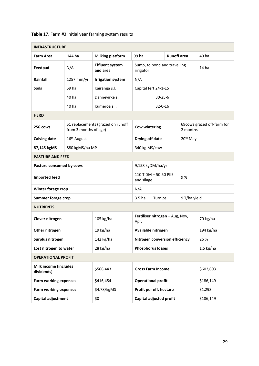|                                     | <b>INFRASTRUCTURE</b>   |                                    |                                             |                                          |                      |                            |  |  |
|-------------------------------------|-------------------------|------------------------------------|---------------------------------------------|------------------------------------------|----------------------|----------------------------|--|--|
| <b>Farm Area</b>                    | 144 ha                  | <b>Milking platform</b>            | 99 ha                                       |                                          | <b>Runoff</b> area   | 40 ha                      |  |  |
| Feedpad                             | N/A                     | <b>Effluent system</b><br>and area | irrigator                                   | Sump, to pond and travelling             |                      | 14 <sub>ha</sub>           |  |  |
| Rainfall                            | 1257 mm/yr              | <b>Irrigation system</b>           | N/A                                         |                                          |                      |                            |  |  |
| <b>Soils</b>                        | 59 ha                   | Kairanga s.l.                      |                                             | Capital fert 24-1-15                     |                      |                            |  |  |
|                                     | 40 ha                   | Dannevirke s.l.                    |                                             | $30 - 25 - 6$                            |                      |                            |  |  |
|                                     | 40 ha                   | Kumeroa s.l.                       |                                             | $32 - 0 - 16$                            |                      |                            |  |  |
| <b>HERD</b>                         |                         |                                    |                                             |                                          |                      |                            |  |  |
| 256 cows                            | from 3 months of age)   | 51 replacements (grazed on runoff  | <b>Cow wintering</b>                        |                                          | 2 months             | 69cows grazed off-farm for |  |  |
| <b>Calving date</b>                 | 16 <sup>th</sup> August |                                    | Drying off date                             |                                          | 20 <sup>th</sup> May |                            |  |  |
| 87,145 kgMS                         | 880 kgMS/ha MP          |                                    | 340 kg MS/cow                               |                                          |                      |                            |  |  |
| <b>PASTURE AND FEED</b>             |                         |                                    |                                             |                                          |                      |                            |  |  |
| Pasture consumed by cows            |                         |                                    |                                             | 9,158 kgDM/ha/yr                         |                      |                            |  |  |
| <b>Imported feed</b>                |                         |                                    |                                             | 110 T DM - 50:50 PKE<br>9%<br>and silage |                      |                            |  |  |
| Winter forage crop                  |                         |                                    | N/A                                         |                                          |                      |                            |  |  |
| <b>Summer forage crop</b>           |                         |                                    | 3.5 ha<br>9 T/ha yield<br>Turnips           |                                          |                      |                            |  |  |
| <b>NUTRIENTS</b>                    |                         |                                    |                                             |                                          |                      |                            |  |  |
| Clover nitrogen                     |                         | 105 kg/ha                          | Apr.                                        | Fertiliser nitrogen - Aug, Nov,          |                      | 70 kg/ha                   |  |  |
| Other nitrogen                      |                         | 19 kg/ha                           |                                             | Available nitrogen                       |                      | 194 kg/ha                  |  |  |
| Surplus nitrogen                    |                         | 142 kg/ha                          |                                             | Nitrogen conversion efficiency           |                      | 26 %                       |  |  |
| Lost nitrogen to water              |                         | 28 kg/ha                           |                                             | <b>Phosphorus losses</b>                 |                      | $1.5$ kg/ha                |  |  |
| <b>OPERATIONAL PROFIT</b>           |                         |                                    |                                             |                                          |                      |                            |  |  |
| Milk income (includes<br>dividends) |                         | \$566,443                          | <b>Gross Farm Income</b><br>\$602,603       |                                          |                      |                            |  |  |
| <b>Farm working expenses</b>        |                         | \$416,454                          |                                             | <b>Operational profit</b>                |                      | \$186,149                  |  |  |
| <b>Farm working expenses</b>        |                         | \$4.78/kgMS                        |                                             | Profit per eff. hectare                  |                      | \$1,293                    |  |  |
| Capital adjustment                  |                         | \$0                                | <b>Capital adjusted profit</b><br>\$186,149 |                                          |                      |                            |  |  |

#### **Table 17.** Farm #3 initial year farming system results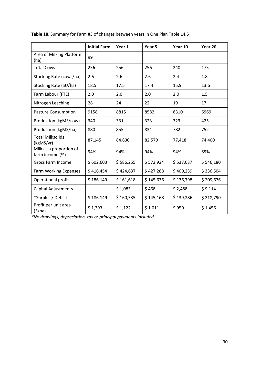|                                            | <b>Initial Farm</b>      | Year 1    | Year 5    | Year 10   | Year 20   |
|--------------------------------------------|--------------------------|-----------|-----------|-----------|-----------|
| Area of Milking Platform<br>(ha)           | 99                       |           |           |           |           |
| <b>Total Cows</b>                          | 256                      | 256       | 256       | 240       | 175       |
| Stocking Rate (cows/ha)                    | 2.6                      | 2.6       | 2.6       | 2.4       | 1.8       |
| Stocking Rate (SU/ha)                      | 18.5                     | 17.5      | 17.4      | 15.9      | 13.6      |
| Farm Labour (FTE)                          | 2.0                      | 2.0       | 2.0       | 2.0       | 1.5       |
| Nitrogen Leaching                          | 28                       | 24        | 22        | 19        | 17        |
| <b>Pasture Consumption</b>                 | 9158                     | 8815      | 8582      | 8310      | 6969      |
| Production (kgMS/cow)                      | 340                      | 331       | 323       | 323       | 425       |
| Production (kgMS/ha)                       | 880                      | 855       | 834       | 782       | 752       |
| <b>Total Milksolids</b><br>(kgMS/yr)       | 87,145                   | 84,630    | 82,579    | 77,418    | 74,400    |
| Milk as a proportion of<br>farm income (%) | 94%                      | 94%       | 94%       | 94%       | 89%       |
| Gross Farm Income                          | \$602,603                | \$586,255 | \$572,924 | \$537,037 | \$546,180 |
| <b>Farm Working Expenses</b>               | \$416,454                | \$424,637 | \$427,288 | \$400,239 | \$336,504 |
| Operational profit                         | \$186,149                | \$161,618 | \$145,636 | \$136,798 | \$209,676 |
| <b>Capital Adjustments</b>                 | $\overline{\phantom{0}}$ | \$1,083   | \$468     | \$2,488   | \$9,114   |
| *Surplus / Deficit                         | \$186,149                | \$160,535 | \$145,168 | \$139,286 | \$218,790 |
| Profit per unit area<br>(5/ha)             | \$1,293                  | \$1,122   | \$1,011   | \$950     | \$1,456   |

**Table 18.** Summary for Farm #3 of changes between years in One Plan Table 14.5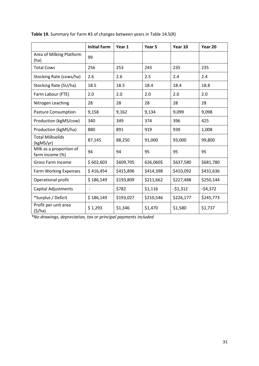|                                            | <b>Initial Farm</b>      | Year 1    | Year 5    | Year 10   | Year 20   |
|--------------------------------------------|--------------------------|-----------|-----------|-----------|-----------|
| Area of Milking Platform<br>(ha)           | 99                       |           |           |           |           |
| <b>Total Cows</b>                          | 256                      | 253       | 243       | 235       | 235       |
| Stocking Rate (cows/ha)                    | 2.6                      | 2.6       | 2.5       | 2.4       | 2.4       |
| Stocking Rate (SU/ha)                      | 18.5                     | 18.5      | 18.4      | 18.4      | 18.8      |
| Farm Labour (FTE)                          | 2.0                      | 2.0       | 2.0       | 2.0       | 2.0       |
| Nitrogen Leaching                          | 28                       | 28        | 28        | 28        | 28        |
| <b>Pasture Consumption</b>                 | 9,158                    | 9,162     | 9,134     | 9,099     | 9,098     |
| Production (kgMS/cow)                      | 340                      | 349       | 374       | 396       | 425       |
| Production (kgMS/ha)                       | 880                      | 891       | 919       | 939       | 1,008     |
| <b>Total Milksolids</b><br>(kgMS/yr)       | 87,145                   | 88,250    | 91,000    | 93,000    | 99,800    |
| Milk as a proportion of<br>farm income (%) | 94                       | 94        | 95        | 95        | 95        |
| <b>Gross Farm Income</b>                   | \$602,603                | \$609,705 | 626,060\$ | \$637,580 | \$681,780 |
| Farm Working Expenses                      | \$416,454                | \$415,896 | \$414,398 | \$410,092 | \$431,636 |
| Operational profit                         | \$186,149                | \$193,809 | \$211,662 | \$227,488 | \$250,144 |
| <b>Capital Adjustments</b>                 | $\overline{\phantom{0}}$ | \$782     | \$1,116   | $-51,312$ | $-54,372$ |
| *Surplus / Deficit                         | \$186,149                | \$193,027 | \$210,546 | \$226,177 | \$245,773 |
| Profit per unit area<br>(5/ha)             | \$1,293                  | \$1,346   | \$1,470   | \$1,580   | \$1,737   |

**Table 19.** Summary for Farm #3 of changes between years in Table 14.5(R)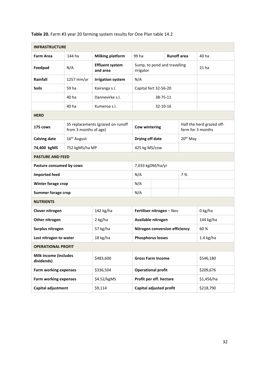|                                            | <b>INFRASTRUCTURE</b>   |                                    |                                           |          |                    |                      |                                                |  |
|--------------------------------------------|-------------------------|------------------------------------|-------------------------------------------|----------|--------------------|----------------------|------------------------------------------------|--|
| <b>Farm Area</b>                           | 144 ha                  | <b>Milking platform</b>            | 99 ha                                     |          | <b>Runoff</b> area |                      | 40 ha                                          |  |
| Feedpad                                    | N/A                     | <b>Effluent system</b><br>and area | Sump, to pond and travelling<br>irrigator |          |                    |                      | 21 <sub>ha</sub>                               |  |
| Rainfall                                   | 1257 mm/yr              | <b>Irrigation system</b>           | N/A                                       |          |                    |                      |                                                |  |
| <b>Soils</b>                               | 59 ha                   | Kairanga s.l.                      | Capital fert 32-56-20                     |          |                    |                      |                                                |  |
|                                            | 40 ha                   | Dannevirke s.l.                    |                                           | 38-75-11 |                    |                      |                                                |  |
|                                            | 40 ha                   | Kumeroa s.l.                       |                                           | 32-10-16 |                    |                      |                                                |  |
| <b>HERD</b>                                |                         |                                    |                                           |          |                    |                      |                                                |  |
| 175 cows                                   | from 3 months of age)   | 35 replacements (grazed on runoff  | <b>Cow wintering</b>                      |          |                    |                      | Half the herd grazed off-<br>farm for 3 months |  |
| <b>Calving date</b>                        | 16 <sup>th</sup> August |                                    | Drying off date                           |          |                    | 20 <sup>th</sup> May |                                                |  |
| 74,400 kgMS                                | 752 kgMS/ha MP          |                                    | 425 kg MS/cow                             |          |                    |                      |                                                |  |
|                                            | <b>PASTURE AND FEED</b> |                                    |                                           |          |                    |                      |                                                |  |
| Pasture consumed by cows                   |                         |                                    | 7,033 kgDM/ha/yr                          |          |                    |                      |                                                |  |
| <b>Imported feed</b>                       |                         |                                    | N/A                                       |          | 7%                 |                      |                                                |  |
| Winter forage crop                         |                         |                                    | N/A                                       |          |                    |                      |                                                |  |
| <b>Summer forage crop</b>                  |                         |                                    | N/A                                       |          |                    |                      |                                                |  |
| <b>NUTRIENTS</b>                           |                         |                                    |                                           |          |                    |                      |                                                |  |
| Clover nitrogen                            |                         | 142 kg/ha                          | Fertiliser nitrogen - Nov                 |          |                    |                      | 0 kg/ha                                        |  |
| Other nitrogen                             |                         | 2 kg/ha                            | Available nitrogen                        |          |                    |                      | 144 kg/ha                                      |  |
| Surplus nitrogen                           |                         | 57 kg/ha                           | Nitrogen conversion efficiency            |          |                    |                      | 60%                                            |  |
| Lost nitrogen to water                     |                         | 18 kg/ha                           | <b>Phosphorus losses</b>                  |          |                    |                      | $1.4$ kg/ha                                    |  |
| <b>OPERATIONAL PROFIT</b>                  |                         |                                    |                                           |          |                    |                      |                                                |  |
| <b>Milk income (includes</b><br>dividends) |                         | \$483,600                          | <b>Gross Farm Income</b>                  |          |                    | \$546,180            |                                                |  |
| <b>Farm working expenses</b>               |                         | \$336,504                          | <b>Operational profit</b>                 |          |                    |                      | \$209,676                                      |  |
| Farm working expenses                      |                         | \$4.52/kgMS                        | Profit per eff. hectare                   |          |                    |                      | \$1,456/ha                                     |  |
| Capital adjustment                         |                         | \$9,114                            | Capital adjusted profit<br>\$218,790      |          |                    |                      |                                                |  |

#### **Table 20.** Farm #3 year 20 farming system results for One Plan table 14.2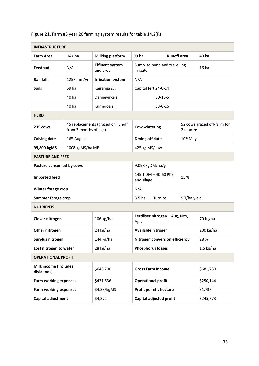| <b>INFRASTRUCTURE</b>                      |                         |                                    |                                       |                                 |              |                             |  |
|--------------------------------------------|-------------------------|------------------------------------|---------------------------------------|---------------------------------|--------------|-----------------------------|--|
| <b>Farm Area</b>                           | 144 ha                  | <b>Milking platform</b>            | 99 ha                                 | <b>Runoff</b> area              |              | 40 ha                       |  |
| Feedpad                                    | N/A                     | <b>Effluent system</b><br>and area | irrigator                             | Sump, to pond and travelling    |              | 16 <sub>ha</sub>            |  |
| Rainfall                                   | 1257 mm/yr              | <b>Irrigation system</b>           | N/A                                   |                                 |              |                             |  |
| <b>Soils</b>                               | 59 ha                   | Kairanga s.l.                      |                                       | Capital fert 24-0-14            |              |                             |  |
|                                            | 40 ha                   | Dannevirke s.l.                    |                                       | $30 - 16 - 5$                   |              |                             |  |
|                                            | 40 ha                   | Kumeroa s.l.                       |                                       | $33 - 0 - 16$                   |              |                             |  |
| <b>HERD</b>                                |                         |                                    |                                       |                                 |              |                             |  |
| 235 cows                                   | from 3 months of age)   | 45 replacements (grazed on runoff  | <b>Cow wintering</b>                  |                                 | 2 months     | 52 cows grazed off-farm for |  |
| <b>Calving date</b>                        | 16 <sup>th</sup> August |                                    | Drying off date                       |                                 | $10th$ May   |                             |  |
| 99,800 kgMS                                | 1008 kgMS/ha MP         |                                    |                                       | 425 kg MS/cow                   |              |                             |  |
| <b>PASTURE AND FEED</b>                    |                         |                                    |                                       |                                 |              |                             |  |
| Pasture consumed by cows                   |                         |                                    |                                       | 9,098 kgDM/ha/yr                |              |                             |  |
| <b>Imported feed</b>                       |                         |                                    | 145 T DM - 40:60 PKE<br>and silage    |                                 | 15 %         |                             |  |
| Winter forage crop                         |                         |                                    | N/A                                   |                                 |              |                             |  |
| <b>Summer forage crop</b>                  |                         |                                    | 3.5 ha<br>Turnips                     |                                 | 9 T/ha yield |                             |  |
| <b>NUTRIENTS</b>                           |                         |                                    |                                       |                                 |              |                             |  |
| Clover nitrogen                            |                         | 106 kg/ha                          | Apr.                                  | Fertiliser nitrogen - Aug, Nov, |              | 70 kg/ha                    |  |
| Other nitrogen                             |                         | 24 kg/ha                           |                                       | Available nitrogen              |              | 200 kg/ha                   |  |
| Surplus nitrogen                           |                         | 144 kg/ha                          |                                       | Nitrogen conversion efficiency  |              | 28%                         |  |
| Lost nitrogen to water                     |                         | 28 kg/ha                           |                                       | <b>Phosphorus losses</b>        |              | $1.5$ kg/ha                 |  |
| <b>OPERATIONAL PROFIT</b>                  |                         |                                    |                                       |                                 |              |                             |  |
| <b>Milk income (includes</b><br>dividends) |                         | \$648,700                          | <b>Gross Farm Income</b><br>\$681,780 |                                 |              |                             |  |
| <b>Farm working expenses</b>               |                         | \$431,636                          |                                       | <b>Operational profit</b>       |              | \$250,144                   |  |
| <b>Farm working expenses</b>               |                         | \$4.33/kgMS                        |                                       | Profit per eff. hectare         |              | \$1,737                     |  |
| Capital adjustment                         |                         | \$4,372                            | Capital adjusted profit<br>\$245,773  |                                 |              |                             |  |

**Figure 21.** Farm #3 year 20 farming system results for table 14.2(R)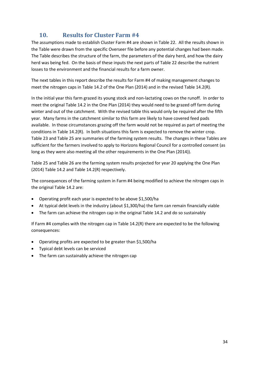## **10. Results for Cluster Farm #4**

<span id="page-33-0"></span>The assumptions made to establish Cluster Farm #4 are shown in Table 22. All the results shown in the Table were drawn from the specific Overseer file before any potential changes had been made. The Table describes the structure of the farm, the parameters of the dairy herd, and how the dairy herd was being fed. On the basis of these inputs the next parts of Table 22 describe the nutrient losses to the environment and the financial results for a farm owner.

The next tables in this report describe the results for Farm #4 of making management changes to meet the nitrogen caps in Table 14.2 of the One Plan (2014) and in the revised Table 14.2(R).

In the initial year this farm grazed its young stock and non-lactating cows on the runoff. In order to meet the original Table 14.2 in the One Plan (2014) they would need to be grazed off farm during winter and out of the catchment. With the revised table this would only be required after the fifth year. Many farms in the catchment similar to this farm are likely to have covered feed pads available. In those circumstances grazing off the farm would not be required as part of meeting the conditions in Table 14.2(R). In both situations this farm is expected to remove the winter crop. Table 23 and Table 25 are summaries of the farming system results. The changes in these Tables are sufficient for the farmers involved to apply to Horizons Regional Council for a controlled consent (as long as they were also meeting all the other requirements in the One Plan (2014)).

Table 25 and Table 26 are the farming system results projected for year 20 applying the One Plan (2014) Table 14.2 and Table 14.2(R) respectively.

The consequences of the farming system in Farm #4 being modified to achieve the nitrogen caps in the original Table 14.2 are:

- Operating profit each year is expected to be above \$1,500/ha
- At typical debt levels in the industry (about \$1,300/ha) the farm can remain financially viable
- The farm can achieve the nitrogen cap in the original Table 14.2 and do so sustainably

If Farm #4 complies with the nitrogen cap in Table 14.2(R) there are expected to be the following consequences:

- Operating profits are expected to be greater than \$1,500/ha
- Typical debt levels can be serviced
- The farm can sustainably achieve the nitrogen cap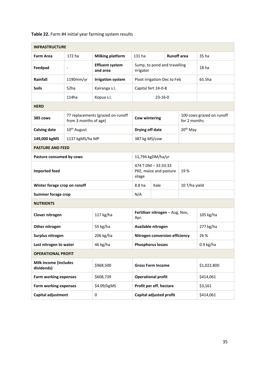| <b>INFRASTRUCTURE</b>                      |                         |                                    |                                                         |                          |                    |                           |             |
|--------------------------------------------|-------------------------|------------------------------------|---------------------------------------------------------|--------------------------|--------------------|---------------------------|-------------|
| <b>Farm Area</b>                           | 172 ha                  | <b>Milking platform</b>            | 131 ha                                                  |                          | <b>Runoff</b> area |                           | 35 ha       |
| Feedpad                                    |                         | <b>Effluent system</b><br>and area | Sump, to pond and travelling<br>irrigator               |                          |                    |                           | 18 ha       |
| Rainfall                                   | 1190mm/yr               | <b>Irrigation system</b>           | Pivot irrigation-Dec to Feb                             |                          |                    |                           | 65.5ha      |
| <b>Soils</b>                               | 52ha                    | Kairanga s.l.                      | Capital fert 24-0-8                                     |                          |                    |                           |             |
|                                            | 114ha                   | Kopua s.l.                         | $23 - 16 - 0$                                           |                          |                    |                           |             |
| <b>HERD</b>                                |                         |                                    |                                                         |                          |                    |                           |             |
| 385 cows                                   | from 3 months of age)   | 77 replacements (grazed on runoff  | <b>Cow wintering</b><br>for 2 months                    |                          |                    | 100 cows grazed on runoff |             |
| <b>Calving date</b>                        | 10 <sup>th</sup> August |                                    | Drying off date                                         |                          |                    | 20 <sup>th</sup> May      |             |
| 149,000 kgMS                               | 1137 kgMS/ha MP         |                                    |                                                         | 387 kg MS/cow            |                    |                           |             |
| <b>PASTURE AND FEED</b>                    |                         |                                    |                                                         |                          |                    |                           |             |
| Pasture consumed by cows                   |                         | 11,794 kgDM/ha/yr                  |                                                         |                          |                    |                           |             |
| <b>Imported feed</b>                       |                         |                                    | 474 T DM - 33:33:33<br>PKE, maize and pasture<br>silage |                          | 19%                |                           |             |
| Winter forage crop on ronoff               |                         |                                    | 10 T/ha yield<br>8.8 ha<br>Kale                         |                          |                    |                           |             |
| <b>Summer forage crop</b>                  |                         |                                    | N/A                                                     |                          |                    |                           |             |
| <b>NUTRIENTS</b>                           |                         |                                    |                                                         |                          |                    |                           |             |
| Clover nitrogen                            |                         | 117 kg/ha                          | Fertiliser nitrogen - Aug, Nov,<br>Apr.                 |                          |                    |                           | 105 kg/ha   |
| Other nitrogen                             |                         | 55 kg/ha                           | Available nitrogen                                      |                          |                    |                           | 277 kg/ha   |
| Surplus nitrogen                           |                         | 206 kg/ha                          | Nitrogen conversion efficiency                          |                          |                    |                           | 26 %        |
| Lost nitrogen to water                     |                         | 46 kg/ha                           | <b>Phosphorus losses</b>                                |                          |                    |                           | $0.9$ kg/ha |
| <b>OPERATIONAL PROFIT</b>                  |                         |                                    |                                                         |                          |                    |                           |             |
| <b>Milk income (includes</b><br>dividends) |                         | \$968,500                          |                                                         | <b>Gross Farm Income</b> |                    |                           | \$1,022,800 |
| <b>Farm working expenses</b>               |                         | \$608,739                          | <b>Operational profit</b>                               |                          |                    |                           | \$414,061   |
| <b>Farm working expenses</b>               |                         | \$4.09/kgMS                        | Profit per eff. hectare                                 |                          |                    |                           | \$3,161     |
| Capital adjustment                         |                         | 0                                  | Capital adjusted profit                                 |                          |                    |                           | \$414,061   |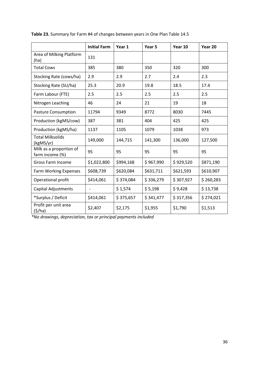|                                            | <b>Initial Farm</b>      | Year 1    | Year 5    | Year 10   | Year 20   |
|--------------------------------------------|--------------------------|-----------|-----------|-----------|-----------|
| Area of Milking Platform<br>(ha)           | 131                      |           |           |           |           |
| <b>Total Cows</b>                          | 385                      | 380       | 350       | 320       | 300       |
| Stocking Rate (cows/ha)                    | 2.9                      | 2.9       | 2.7       | 2.4       | 2.3       |
| Stocking Rate (SU/ha)                      | 25.3                     | 20.9      | 19.8      | 18.5      | 17.4      |
| Farm Labour (FTE)                          | 2.5                      | 2.5       | 2.5       | 2.5       | 2.5       |
| Nitrogen Leaching                          | 46                       | 24        | 21        | 19        | 18        |
| <b>Pasture Consumption</b>                 | 11794                    | 9349      | 8772      | 8030      | 7445      |
| Production (kgMS/cow)                      | 387                      | 381       | 404       | 425       | 425       |
| Production (kgMS/ha)                       | 1137                     | 1105      | 1079      | 1038      | 973       |
| <b>Total Milksolids</b><br>(kgMS/yr)       | 149,000                  | 144,715   | 141,300   | 136,000   | 127,500   |
| Milk as a proportion of<br>farm income (%) | 95                       | 95        | 95        | 95        | 95        |
| Gross Farm Income                          | \$1,022,800              | \$994,168 | \$967,990 | \$929,520 | \$871,190 |
| <b>Farm Working Expenses</b>               | \$608,739                | \$620,084 | \$631,711 | \$621,593 | \$610,907 |
| Operational profit                         | \$414,061                | \$374,084 | \$336,279 | \$307,927 | \$260,283 |
| <b>Capital Adjustments</b>                 | $\overline{\phantom{0}}$ | \$1,574   | \$5,198   | \$9,428   | \$13,738  |
| *Surplus / Deficit                         | \$414,061                | \$375,657 | \$341,477 | \$317,356 | \$274,021 |
| Profit per unit area<br>(5/ha)             | \$2,407                  | \$2,175   | \$1,955   | \$1,790   | \$1,513   |

**Table 23.** Summary for Farm #4 of changes between years in One Plan Table 14.5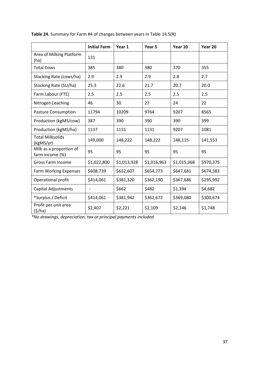|                                            | <b>Initial Farm</b>      | Year 1      | Year 5      | Year 10     | Year 20   |
|--------------------------------------------|--------------------------|-------------|-------------|-------------|-----------|
| Area of Milking Platform<br>(ha)           | 131                      |             |             |             |           |
| <b>Total Cows</b>                          | 385                      | 380         | 380         | 370         | 355       |
| Stocking Rate (cows/ha)                    | 2.9                      | 2.9         | 2.9         | 2.8         | 2.7       |
| Stocking Rate (SU/ha)                      | 25.3                     | 22.6        | 21.7        | 20.7        | 20.0      |
| Farm Labour (FTE)                          | 2.5                      | 2.5         | 2.5         | 2.5         | 2.5       |
| Nitrogen Leaching                          | 46                       | 30          | 27          | 24          | 22        |
| <b>Pasture Consumption</b>                 | 11794                    | 10209       | 9764        | 9207        | 8565      |
| Production (kgMS/cow)                      | 387                      | 390         | 390         | 390         | 399       |
| Production (kgMS/ha)                       | 1137                     | 1131        | 1131        | 9207        | 1081      |
| <b>Total Milksolids</b><br>(kgMS/yr)       | 149,000                  | 148,222     | 148,222     | 148,115     | 141,553   |
| Milk as a proportion of<br>farm income (%) | 95                       | 95          | 95          | 95          | 95        |
| <b>Gross Farm Income</b>                   | \$1,022,800              | \$1,013,928 | \$1,016,963 | \$1,015,368 | \$970,375 |
| Farm Working Expenses                      | \$608,739                | \$632,607   | \$654,773   | \$647,681   | \$674,383 |
| Operational profit                         | \$414,061                | \$381,320   | \$362,190   | \$367,686   | \$295,992 |
| <b>Capital Adjustments</b>                 | $\overline{\phantom{0}}$ | \$662       | \$482       | \$1,394     | \$4,682   |
| *Surplus / Deficit                         | \$414,061                | \$381,942   | \$362,672   | \$369,080   | \$300,674 |
| Profit per unit area<br>(5/ha)             | \$2,407                  | \$2,221     | \$2,109     | \$2,146     | \$1,748   |

**Table 24.** Summary for Farm #4 of changes between years in Table 14.5(R)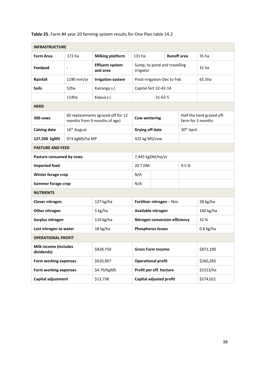| <b>INFRASTRUCTURE</b>                      |                          |                                                                    |                                           |                                           |                    |                           |             |
|--------------------------------------------|--------------------------|--------------------------------------------------------------------|-------------------------------------------|-------------------------------------------|--------------------|---------------------------|-------------|
| <b>Farm Area</b>                           | 172 ha                   | <b>Milking platform</b>                                            | 131 ha                                    |                                           | <b>Runoff</b> area |                           | 35 ha       |
| Feedpad                                    | $\overline{\phantom{a}}$ | <b>Effluent system</b><br>and area                                 | Sump, to pond and travelling<br>irrigator |                                           |                    |                           | 31 ha       |
| Rainfall                                   | 1190 mm/yr               | <b>Irrigation system</b>                                           | Pivot irrigation-Dec to Feb               |                                           |                    |                           | 65.5ha      |
| <b>Soils</b>                               | 52ha                     | Kairanga s.l.                                                      | Capital fert 32-42-14                     |                                           |                    |                           |             |
|                                            | 114ha                    | Kopua s.l.                                                         |                                           | $31 - 62 - 5$                             |                    |                           |             |
| <b>HERD</b>                                |                          |                                                                    |                                           |                                           |                    |                           |             |
| 300 cows                                   |                          | 60 replacements (grazed off for 12<br>months from 9 months of age) | <b>Cow wintering</b><br>farm for 3 months |                                           |                    | Half the herd grazed off- |             |
| <b>Calving date</b>                        | 16 <sup>th</sup> August  |                                                                    |                                           | 30 <sup>th</sup> April<br>Drying off date |                    |                           |             |
| 127,500 kgMS                               | 973 kgMS/ha MP           |                                                                    | 425 kg MS/cow                             |                                           |                    |                           |             |
| <b>PASTURE AND FEED</b>                    |                          |                                                                    |                                           |                                           |                    |                           |             |
| Pasture consumed by cows                   | 7,445 kgDM/ha/yr         |                                                                    |                                           |                                           |                    |                           |             |
| <b>Imported feed</b>                       |                          |                                                                    | 20 T DM                                   | 9.5%                                      |                    |                           |             |
| Winter forage crop                         |                          |                                                                    | N/A                                       |                                           |                    |                           |             |
| <b>Summer forage crop</b>                  |                          |                                                                    | N/A                                       |                                           |                    |                           |             |
| <b>NUTRIENTS</b>                           |                          |                                                                    |                                           |                                           |                    |                           |             |
| Clover nitrogen                            |                          | 127 kg/ha                                                          | Fertiliser nitrogen - Nov                 |                                           |                    |                           | 28 kg/ha    |
| Other nitrogen                             |                          | 5 kg/ha                                                            | Available nitrogen                        |                                           |                    |                           | 160 kg/ha   |
| Surplus nitrogen                           |                          | 110 kg/ha                                                          | Nitrogen conversion efficiency            |                                           |                    |                           | 32 %        |
| Lost nitrogen to water                     |                          | 18 kg/ha                                                           | <b>Phosphorus losses</b>                  |                                           |                    |                           | $0.8$ kg/ha |
| <b>OPERATIONAL PROFIT</b>                  |                          |                                                                    |                                           |                                           |                    |                           |             |
| <b>Milk income (includes</b><br>dividends) |                          | \$828,750                                                          | <b>Gross Farm Income</b>                  |                                           |                    |                           | \$871,190   |
| <b>Farm working expenses</b>               |                          | \$610,907                                                          | <b>Operational profit</b>                 |                                           |                    |                           | \$260,283   |
| <b>Farm working expenses</b>               |                          | \$4.79/kgMS                                                        | Profit per eff. hectare                   |                                           |                    |                           | \$1513/ha   |
| Capital adjustment                         |                          | \$13,738                                                           | Capital adjusted profit                   |                                           |                    |                           | \$274,021   |

#### **Table 25.** Farm #4 year 20 farming system results for One Plan table 14.2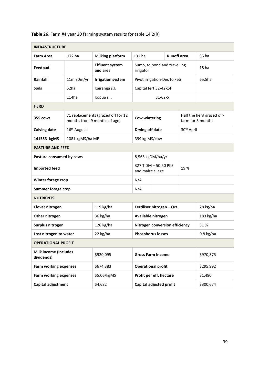| <b>INFRASTRUCTURE</b>                      |                          |                                                                    |                                           |                                                 |                    |                        |                                                |  |
|--------------------------------------------|--------------------------|--------------------------------------------------------------------|-------------------------------------------|-------------------------------------------------|--------------------|------------------------|------------------------------------------------|--|
| <b>Farm Area</b>                           | 172 ha                   | <b>Milking platform</b>                                            | 131 ha                                    |                                                 | <b>Runoff</b> area |                        | 35 ha                                          |  |
| Feedpad                                    | $\overline{\phantom{a}}$ | <b>Effluent system</b><br>and area                                 | Sump, to pond and travelling<br>irrigator |                                                 |                    |                        | 18 <sub>ha</sub>                               |  |
| Rainfall                                   | 11m 90m/yr               | <b>Irrigation system</b>                                           | Pivot irrigation-Dec to Feb               |                                                 |                    |                        | 65.5ha                                         |  |
| <b>Soils</b>                               | 52ha                     | Kairanga s.l.                                                      | Capital fert 32-42-14                     |                                                 |                    |                        |                                                |  |
|                                            | 114ha                    | Kopua s.l.                                                         | 31-62-5                                   |                                                 |                    |                        |                                                |  |
| <b>HERD</b>                                |                          |                                                                    |                                           |                                                 |                    |                        |                                                |  |
| 355 cows                                   |                          | 71 replacements (grazed off for 12<br>months from 9 months of age) |                                           | Cow wintering                                   |                    |                        | Half the herd grazed off-<br>farm for 3 months |  |
| <b>Calving date</b>                        | 16 <sup>th</sup> August  |                                                                    | Drying off date                           |                                                 |                    | 30 <sup>th</sup> April |                                                |  |
| 141553 kgMS                                | 1081 kgMS/ha MP          |                                                                    | 399 kg MS/cow                             |                                                 |                    |                        |                                                |  |
| <b>PASTURE AND FEED</b>                    |                          |                                                                    |                                           |                                                 |                    |                        |                                                |  |
| Pasture consumed by cows                   |                          |                                                                    | 8,565 kgDM/ha/yr                          |                                                 |                    |                        |                                                |  |
| <b>Imported feed</b>                       |                          |                                                                    |                                           | 327 T DM - 50:50 PKE<br>19%<br>and maize silage |                    |                        |                                                |  |
| Winter forage crop                         |                          |                                                                    | N/A                                       |                                                 |                    |                        |                                                |  |
| <b>Summer forage crop</b>                  |                          |                                                                    | N/A                                       |                                                 |                    |                        |                                                |  |
| <b>NUTRIENTS</b>                           |                          |                                                                    |                                           |                                                 |                    |                        |                                                |  |
| Clover nitrogen                            |                          | 119 kg/ha                                                          | Fertiliser nitrogen - Oct.                |                                                 |                    |                        | 28 kg/ha                                       |  |
| Other nitrogen                             |                          | 36 kg/ha                                                           | Available nitrogen                        |                                                 |                    |                        | 183 kg/ha                                      |  |
| Surplus nitrogen                           |                          | 126 kg/ha                                                          | Nitrogen conversion efficiency            |                                                 |                    |                        | 31%                                            |  |
| Lost nitrogen to water                     |                          | 22 kg/ha                                                           | <b>Phosphorus losses</b>                  |                                                 |                    |                        | $0.8$ kg/ha                                    |  |
| <b>OPERATIONAL PROFIT</b>                  |                          |                                                                    |                                           |                                                 |                    |                        |                                                |  |
| <b>Milk income (includes</b><br>dividends) |                          | \$920,095                                                          |                                           | <b>Gross Farm Income</b>                        |                    |                        | \$970,375                                      |  |
| <b>Farm working expenses</b>               |                          | \$674,383                                                          | <b>Operational profit</b>                 |                                                 |                    |                        | \$295,992                                      |  |
| <b>Farm working expenses</b>               |                          | \$5.06/kgMS                                                        | Profit per eff. hectare                   |                                                 |                    |                        | \$1,480                                        |  |
| Capital adjustment                         |                          | \$4,682                                                            | Capital adjusted profit                   |                                                 |                    |                        | \$300,674                                      |  |

**Table 26.** Farm #4 year 20 farming system results for table 14.2(R)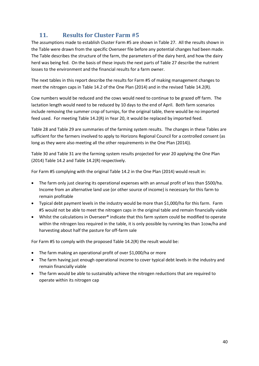## **11. Results for Cluster Farm #5**

<span id="page-39-0"></span>The assumptions made to establish Cluster Farm #5 are shown in Table 27. All the results shown in the Table were drawn from the specific Overseer file before any potential changes had been made. The Table describes the structure of the farm, the parameters of the dairy herd, and how the dairy herd was being fed. On the basis of these inputs the next parts of Table 27 describe the nutrient losses to the environment and the financial results for a farm owner.

The next tables in this report describe the results for Farm #5 of making management changes to meet the nitrogen caps in Table 14.2 of the One Plan (2014) and in the revised Table 14.2(R).

Cow numbers would be reduced and the cows would need to continue to be grazed off farm. The lactation length would need to be reduced by 10 days to the end of April. Both farm scenarios include removing the summer crop of turnips, for the original table, there would be no imported feed used. For meeting Table 14.2(R) in Year 20, it would be replaced by imported feed.

Table 28 and Table 29 are summaries of the farming system results. The changes in these Tables are sufficient for the farmers involved to apply to Horizons Regional Council for a controlled consent (as long as they were also meeting all the other requirements in the One Plan (2014)).

Table 30 and Table 31 are the farming system results projected for year 20 applying the One Plan (2014) Table 14.2 and Table 14.2(R) respectively.

For Farm #5 complying with the original Table 14.2 in the One Plan (2014) would result in:

- The farm only just clearing its operational expenses with an annual profit of less than \$500/ha. Income from an alternative land use (or other source of income) is necessary for this farm to remain profitable
- Typical debt payment levels in the industry would be more than \$1,000/ha for this farm. Farm #5 would not be able to meet the nitrogen caps in the original table and remain financially viable
- Whilst the calculations in Overseer® indicate that this farm system could be modified to operate within the nitrogen loss required in the table, it is only possible by running les than 1cow/ha and harvesting about half the pasture for off-farm sale

For Farm #5 to comply with the proposed Table 14.2(R) the result would be:

- The farm making an operational profit of over \$1,000/ha or more
- The farm having just enough operational income to cover typical debt levels in the industry and remain financially viable
- The farm would be able to sustainably achieve the nitrogen reductions that are required to operate within its nitrogen cap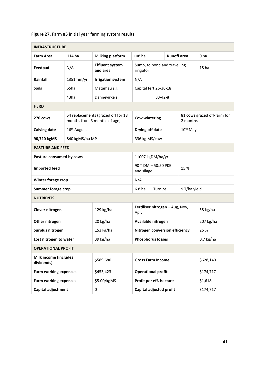| Figure 27. Farm #5 initial year farming system results |  |  |
|--------------------------------------------------------|--|--|
|--------------------------------------------------------|--|--|

| <b>INFRASTRUCTURE</b>                      |                          |                                                                    |                                           |                  |                    |                             |                  |
|--------------------------------------------|--------------------------|--------------------------------------------------------------------|-------------------------------------------|------------------|--------------------|-----------------------------|------------------|
| <b>Farm Area</b>                           | 114 ha                   | <b>Milking platform</b>                                            | 108 ha                                    |                  | <b>Runoff</b> area |                             | 0 <sub>ha</sub>  |
| Feedpad                                    | N/A                      | <b>Effluent system</b><br>and area                                 | Sump, to pond and travelling<br>irrigator |                  |                    |                             | 18 <sub>ha</sub> |
| Rainfall                                   | 1351mm/yr                | <b>Irrigation system</b>                                           | N/A                                       |                  |                    |                             |                  |
| <b>Soils</b>                               | 65ha                     | Matamau s.l.                                                       | Capital fert 26-36-18                     |                  |                    |                             |                  |
|                                            | 43ha                     | Dannevirke s.l.                                                    |                                           | $33 - 42 - 8$    |                    |                             |                  |
| <b>HERD</b>                                |                          |                                                                    |                                           |                  |                    |                             |                  |
| 270 cows                                   |                          | 54 replacements (grazed off for 18<br>months from 3 months of age) | <b>Cow wintering</b><br>2 months          |                  |                    | 81 cows grazed off-farm for |                  |
| <b>Calving date</b>                        | 16 <sup>th</sup> August  |                                                                    | 10 <sup>th</sup> May<br>Drying off date   |                  |                    |                             |                  |
| 90,720 kgMS                                | 840 kgMS/ha MP           |                                                                    | 336 kg MS/cow                             |                  |                    |                             |                  |
| <b>PASTURE AND FEED</b>                    |                          |                                                                    |                                           |                  |                    |                             |                  |
|                                            | Pasture consumed by cows |                                                                    |                                           | 11007 kgDM/ha/yr |                    |                             |                  |
| <b>Imported feed</b>                       |                          |                                                                    | 90 T DM - 50:50 PKE<br>and silage         |                  | 15 %               |                             |                  |
| Winter forage crop                         |                          |                                                                    | N/A                                       |                  |                    |                             |                  |
| <b>Summer forage crop</b>                  |                          |                                                                    | 6.8 <sub>ha</sub>                         | Turnips          |                    | 9 T/ha yield                |                  |
| <b>NUTRIENTS</b>                           |                          |                                                                    |                                           |                  |                    |                             |                  |
| Clover nitrogen                            |                          | 129 kg/ha                                                          | Fertiliser nitrogen - Aug, Nov,<br>Apr.   |                  |                    |                             | 58 kg/ha         |
| Other nitrogen                             |                          | 20 kg/ha                                                           | Available nitrogen                        |                  |                    |                             | 207 kg/ha        |
| Surplus nitrogen                           |                          | 153 kg/ha                                                          | Nitrogen conversion efficiency            |                  |                    |                             | 26 %             |
| Lost nitrogen to water                     |                          | 39 kg/ha                                                           | <b>Phosphorus losses</b>                  |                  |                    |                             | $0.7$ kg/ha      |
| <b>OPERATIONAL PROFIT</b>                  |                          |                                                                    |                                           |                  |                    |                             |                  |
| <b>Milk income (includes</b><br>dividends) |                          | \$589,680                                                          | <b>Gross Farm Income</b>                  |                  |                    |                             | \$628,140        |
| <b>Farm working expenses</b>               |                          | \$453,423                                                          | <b>Operational profit</b>                 |                  |                    |                             | \$174,717        |
| <b>Farm working expenses</b>               |                          | \$5.00/kgMS                                                        | Profit per eff. hectare                   |                  |                    |                             | \$1,618          |
| Capital adjustment                         |                          | 0                                                                  | Capital adjusted profit                   |                  |                    |                             | \$174,717        |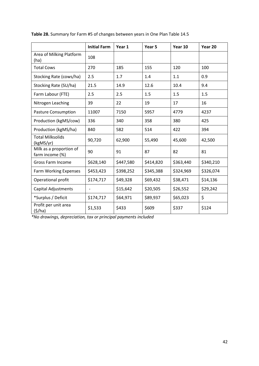|                                            | <b>Initial Farm</b>      | Year 1    | Year 5    | Year 10   | Year 20   |
|--------------------------------------------|--------------------------|-----------|-----------|-----------|-----------|
| Area of Milking Platform<br>(ha)           | 108                      |           |           |           |           |
| <b>Total Cows</b>                          | 270                      | 185       | 155       | 120       | 100       |
| Stocking Rate (cows/ha)                    | 2.5                      | 1.7       | 1.4       | 1.1       | 0.9       |
| Stocking Rate (SU/ha)                      | 21.5                     | 14.9      | 12.6      | 10.4      | 9.4       |
| Farm Labour (FTE)                          | 2.5                      | 2.5       | 1.5       | 1.5       | 1.5       |
| Nitrogen Leaching                          | 39                       | 22        | 19        | 17        | 16        |
| <b>Pasture Consumption</b>                 | 11007                    | 7150      | 5957      | 4779      | 4237      |
| Production (kgMS/cow)                      | 336                      | 340       | 358       | 380       | 425       |
| Production (kgMS/ha)                       | 840                      | 582       | 514       | 422       | 394       |
| <b>Total Milksolids</b><br>(kgMS/yr)       | 90,720                   | 62,900    | 55,490    | 45,600    | 42,500    |
| Milk as a proportion of<br>farm income (%) | 90                       | 91        | 87        | 82        | 81        |
| <b>Gross Farm Income</b>                   | \$628,140                | \$447,580 | \$414,820 | \$363,440 | \$340,210 |
| <b>Farm Working Expenses</b>               | \$453,423                | \$398,252 | \$345,388 | \$324,969 | \$326,074 |
| Operational profit                         | \$174,717                | \$49,328  | \$69,432  | \$38,471  | \$14,136  |
| <b>Capital Adjustments</b>                 | $\overline{\phantom{0}}$ | \$15,642  | \$20,505  | \$26,552  | \$29,242  |
| *Surplus / Deficit                         | \$174,717                | \$64,971  | \$89,937  | \$65,023  | \$        |
| Profit per unit area<br>(5/ha)             | \$1,533                  | \$433     | \$609     | \$337     | \$124     |

**Table 28.** Summary for Farm #5 of changes between years in One Plan Table 14.5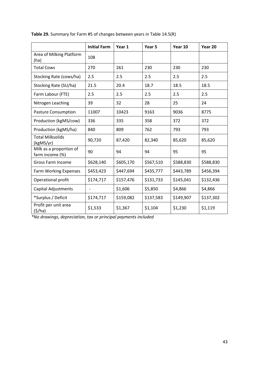|                                            | <b>Initial Farm</b>      | Year 1    | Year 5    | Year 10   | Year 20   |
|--------------------------------------------|--------------------------|-----------|-----------|-----------|-----------|
| Area of Milking Platform<br>(ha)           | 108                      |           |           |           |           |
| <b>Total Cows</b>                          | 270                      | 261       | 230       | 230       | 230       |
| Stocking Rate (cows/ha)                    | 2.5                      | 2.5       | 2.5       | 2.5       | 2.5       |
| Stocking Rate (SU/ha)                      | 21.5                     | 20.4      | 18.7      | 18.5      | 18.5      |
| Farm Labour (FTE)                          | 2.5                      | 2.5       | 2.5       | 2.5       | 2.5       |
| Nitrogen Leaching                          | 39                       | 32        | 28        | 25        | 24        |
| <b>Pasture Consumption</b>                 | 11007                    | 10423     | 9163      | 9036      | 8775      |
| Production (kgMS/cow)                      | 336                      | 335       | 358       | 372       | 372       |
| Production (kgMS/ha)                       | 840                      | 809       | 762       | 793       | 793       |
| <b>Total Milksolids</b><br>(kgMS/yr)       | 90,720                   | 87,420    | 82,340    | 85,620    | 85,620    |
| Milk as a proportion of<br>farm income (%) | 90                       | 94        | 94        | 95        | 95        |
| <b>Gross Farm Income</b>                   | \$628,140                | \$605,170 | \$567,510 | \$588,830 | \$588,830 |
| Farm Working Expenses                      | \$453,423                | \$447,694 | \$435,777 | \$443,789 | \$456,394 |
| Operational profit                         | \$174,717                | \$157,476 | \$131,733 | \$145,041 | \$132,436 |
| <b>Capital Adjustments</b>                 | $\overline{\phantom{0}}$ | \$1,606   | \$5,850   | \$4,866   | \$4,866   |
| *Surplus / Deficit                         | \$174,717                | \$159,082 | \$137,583 | \$149,907 | \$137,302 |
| Profit per unit area<br>(5/ha)             | \$1,533                  | \$1,367   | \$1,104   | \$1,230   | \$1,119   |

**Table 29.** Summary for Farm #5 of changes between years in Table 14.5(R)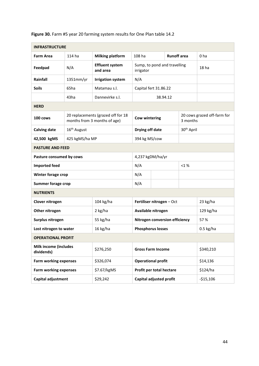| <b>INFRASTRUCTURE</b>                      |                          |                                                                    |                                           |                          |                    |                             |                  |
|--------------------------------------------|--------------------------|--------------------------------------------------------------------|-------------------------------------------|--------------------------|--------------------|-----------------------------|------------------|
| <b>Farm Area</b>                           | 114 ha                   | <b>Milking platform</b>                                            | 108 ha                                    |                          | <b>Runoff</b> area |                             | 0 <sub>ha</sub>  |
| Feedpad                                    | N/A                      | <b>Effluent system</b><br>and area                                 | Sump, to pond and travelling<br>irrigator |                          |                    |                             | 18 <sub>ha</sub> |
| Rainfall                                   | 1351mm/yr                | <b>Irrigation system</b>                                           | N/A                                       |                          |                    |                             |                  |
| <b>Soils</b>                               | 65ha                     | Matamau s.l.                                                       | Capital fert 31.86.22                     |                          |                    |                             |                  |
|                                            | 43ha                     | Dannevirke s.l.                                                    |                                           | 38.94.12                 |                    |                             |                  |
| <b>HERD</b>                                |                          |                                                                    |                                           |                          |                    |                             |                  |
| 100 cows                                   |                          | 20 replacements (grazed off for 18<br>months from 3 months of age) | <b>Cow wintering</b><br>3 months          |                          |                    | 20 cows grazed off-farm for |                  |
| <b>Calving date</b>                        | 16 <sup>th</sup> August  |                                                                    | 30 <sup>th</sup> April<br>Drying off date |                          |                    |                             |                  |
| 42,500 kgMS                                | 425 kgMS/ha MP           |                                                                    | 394 kg MS/cow                             |                          |                    |                             |                  |
| <b>PASTURE AND FEED</b>                    |                          |                                                                    |                                           |                          |                    |                             |                  |
|                                            | Pasture consumed by cows |                                                                    |                                           | 4,237 kgDM/ha/yr         |                    |                             |                  |
| <b>Imported feed</b>                       |                          |                                                                    | N/A<br>$< 1 \%$                           |                          |                    |                             |                  |
| Winter forage crop                         |                          |                                                                    | N/A                                       |                          |                    |                             |                  |
| <b>Summer forage crop</b>                  |                          |                                                                    | N/A                                       |                          |                    |                             |                  |
| <b>NUTRIENTS</b>                           |                          |                                                                    |                                           |                          |                    |                             |                  |
| Clover nitrogen                            |                          | 104 kg/ha                                                          | Fertiliser nitrogen - Oct                 |                          |                    |                             | 23 kg/ha         |
| Other nitrogen                             |                          | 2 kg/ha                                                            | Available nitrogen                        |                          |                    |                             | 129 kg/ha        |
| Surplus nitrogen                           |                          | 55 kg/ha                                                           | Nitrogen conversion efficiency            |                          |                    |                             | 57 %             |
| Lost nitrogen to water                     |                          | 16 kg/ha                                                           | <b>Phosphorus losses</b>                  |                          |                    |                             | $0.5$ kg/ha      |
| <b>OPERATIONAL PROFIT</b>                  |                          |                                                                    |                                           |                          |                    |                             |                  |
| <b>Milk income (includes</b><br>dividends) |                          | \$276,250                                                          |                                           | <b>Gross Farm Income</b> |                    |                             | \$340,210        |
| <b>Farm working expenses</b>               |                          | \$326,074                                                          | <b>Operational profit</b>                 |                          |                    |                             | \$14,136         |
| <b>Farm working expenses</b>               |                          | \$7.67/kgMS                                                        | Profit per total hectare                  |                          |                    |                             | \$124/ha         |
| Capital adjustment                         |                          | \$29,242                                                           | Capital adjusted profit                   |                          |                    |                             | $-$15,106$       |

**Figure 30.** Farm #5 year 20 farming system results for One Plan table 14.2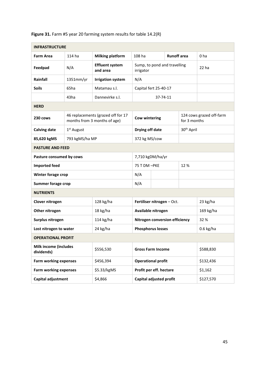| <b>INFRASTRUCTURE</b>                      |                |                                                                    |                                           |                          |                    |                          |                  |
|--------------------------------------------|----------------|--------------------------------------------------------------------|-------------------------------------------|--------------------------|--------------------|--------------------------|------------------|
| <b>Farm Area</b>                           | 114 ha         | <b>Milking platform</b>                                            | 108 ha                                    |                          | <b>Runoff</b> area |                          | 0 <sub>ha</sub>  |
| Feedpad                                    | N/A            | <b>Effluent system</b><br>and area                                 | Sump, to pond and travelling<br>irrigator |                          |                    |                          | 22 <sub>ha</sub> |
| Rainfall                                   | 1351mm/yr      | <b>Irrigation system</b>                                           | N/A                                       |                          |                    |                          |                  |
| <b>Soils</b>                               | 65ha           | Matamau s.l.                                                       | Capital fert 25-40-17                     |                          |                    |                          |                  |
|                                            | 43ha           | Dannevirke s.l.                                                    | 37-74-11                                  |                          |                    |                          |                  |
| <b>HERD</b>                                |                |                                                                    |                                           |                          |                    |                          |                  |
| 230 cows                                   |                | 46 replacements (grazed off for 17<br>months from 3 months of age) | <b>Cow wintering</b><br>for 3 months      |                          |                    | 124 cows grazed off-farm |                  |
| <b>Calving date</b>                        | $1st$ August   |                                                                    | Drying off date                           |                          |                    | 30 <sup>th</sup> April   |                  |
| 85,620 kgMS                                | 793 kgMS/ha MP |                                                                    | 372 kg MS/cow                             |                          |                    |                          |                  |
| <b>PASTURE AND FEED</b>                    |                |                                                                    |                                           |                          |                    |                          |                  |
| Pasture consumed by cows                   |                |                                                                    | 7,710 kgDM/ha/yr                          |                          |                    |                          |                  |
| <b>Imported feed</b>                       |                |                                                                    | 75 T DM -PKE<br>12 %                      |                          |                    |                          |                  |
| Winter forage crop                         |                |                                                                    | N/A                                       |                          |                    |                          |                  |
| <b>Summer forage crop</b>                  |                |                                                                    | N/A                                       |                          |                    |                          |                  |
| <b>NUTRIENTS</b>                           |                |                                                                    |                                           |                          |                    |                          |                  |
| Clover nitrogen                            |                | 128 kg/ha                                                          | Fertiliser nitrogen - Oct.                |                          |                    |                          | 23 kg/ha         |
| Other nitrogen                             |                | 18 kg/ha                                                           | Available nitrogen                        |                          |                    |                          | 169 kg/ha        |
| Surplus nitrogen                           |                | 114 kg/ha                                                          | Nitrogen conversion efficiency            |                          |                    |                          | 32 %             |
| Lost nitrogen to water                     |                | 24 kg/ha                                                           | <b>Phosphorus losses</b>                  |                          |                    |                          | $0.6$ kg/ha      |
| <b>OPERATIONAL PROFIT</b>                  |                |                                                                    |                                           |                          |                    |                          |                  |
| <b>Milk income (includes</b><br>dividends) |                | \$556,530                                                          |                                           | <b>Gross Farm Income</b> |                    |                          | \$588,830        |
| <b>Farm working expenses</b>               |                | \$456,394                                                          | <b>Operational profit</b>                 |                          |                    |                          | \$132,436        |
| <b>Farm working expenses</b>               |                | \$5.33/kgMS                                                        | Profit per eff. hectare                   |                          |                    |                          | \$1,162          |
| <b>Capital adjustment</b>                  |                | \$4,866                                                            | Capital adjusted profit                   |                          |                    |                          | \$127,570        |

## **Figure 31.** Farm #5 year 20 farming system results for table 14.2(R)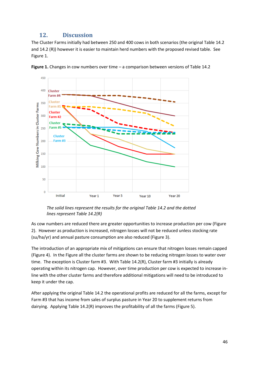## **12. Discussion**

<span id="page-45-0"></span>The Cluster Farms initially had between 250 and 400 cows in both scenarios (the original Table 14.2 and 14.2 (R)) however it is easier to maintain herd numbers with the proposed revised table. See Figure 1.



**Figure 1.** Changes in cow numbers over time – a comparison between versions of Table 14.2

*The solid lines represent the results for the original Table 14.2 and the dotted lines represent Table 14.2(R)*

As cow numbers are reduced there are greater opportunities to increase production per cow (Figure 2). However as production is increased, nitrogen losses will not be reduced unless stocking rate (su/ha/yr) and annual pasture consumption are also reduced (Figure 3).

The introduction of an appropriate mix of mitigations can ensure that nitrogen losses remain capped (Figure 4). In the Figure all the cluster farms are shown to be reducing nitrogen losses to water over time. The exception is Cluster farm #3. With Table 14.2(R), Cluster farm #3 initially is already operating within its nitrogen cap. However, over time production per cow is expected to increase inline with the other cluster farms and therefore additional mitigations will need to be introduced to keep it under the cap.

After applying the original Table 14.2 the operational profits are reduced for all the farms, except for Farm #3 that has income from sales of surplus pasture in Year 20 to supplement returns from dairying. Applying Table 14.2(R) improves the profitability of all the farms (Figure 5).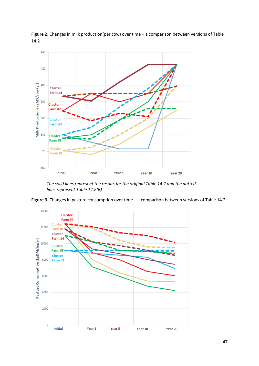

Figure 2. Changes in milk production(per cow) over time - a comparison between versions of Table 14.2

*The solid lines represent the results for the original Table 14.2 and the dotted lines represent Table 14.2(R)*



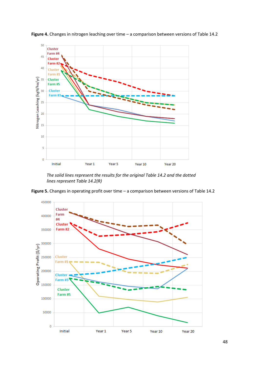

**Figure 4.** Changes in nitrogen leaching over time – a comparison between versions of Table 14.2

*The solid lines represent the results for the original Table 14.2 and the dotted lines represent Table 14.2(R)*

**Figure 5.** Changes in operating profit over time – a comparison between versions of Table 14.2

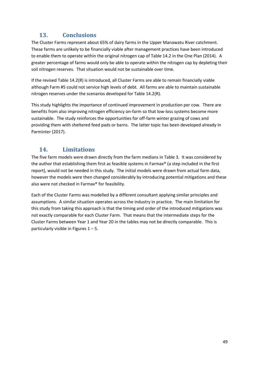## <span id="page-48-0"></span>**13. Conclusions**

The Cluster Farms represent about 65% of dairy farms in the Upper Manawatu River catchment. These farms are unlikely to be financially viable after management practices have been introduced to enable them to operate within the original nitrogen cap of Table 14.2 in the One Plan (2014). A greater percentage of farms would only be able to operate within the nitrogen cap by depleting their soil nitrogen reserves. That situation would not be sustainable over time.

If the revised Table 14.2(R) is introduced, all Cluster Farms are able to remain financially viable although Farm #5 could not service high levels of debt. All farms are able to maintain sustainable nitrogen reserves under the scenarios developed for Table 14.2(R).

This study highlights the importance of continued improvement in production per cow. There are benefits from also improving nitrogen efficiency on-farm so that low-loss systems become more sustainable. The study reinforces the opportunities for off-farm winter grazing of cows and providing them with sheltered feed pads or barns. The latter topic has been developed already in Parminter (2017).

## <span id="page-48-1"></span>**14. Limitations**

The five farm models were drawn directly from the farm medians in Table 3. It was considered by the author that establishing them first as feasible systems in Farmax® (a step included in the first report), would not be needed in this study. The initial models were drawn from actual farm data, however the models were then changed considerably by introducing potential mitigations and these also were not checked in Farmax® for feasibility.

Each of the Cluster Farms was modelled by a different consultant applying similar principles and assumptions. A similar situation operates across the industry in practice. The main limitation for this study from taking this approach is that the timing and order of the introduced mitigations was not exactly comparable for each Cluster Farm. That means that the intermediate steps for the Cluster Farms between Year 1 and Year 20 in the tables may not be directly comparable. This is particularly visible in Figures  $1 - 5$ .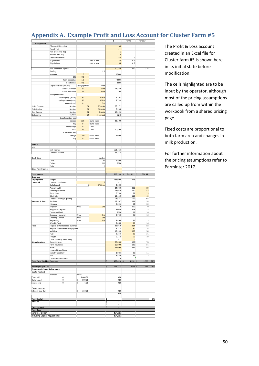## <span id="page-49-0"></span>**Appendix A. Example Profit and Loss Account for Cluster Farm #5**

|                                        |                                               |                            |                     | \$                       | Per ha         | Per cow                 |     |
|----------------------------------------|-----------------------------------------------|----------------------------|---------------------|--------------------------|----------------|-------------------------|-----|
| <b>Background</b>                      |                                               |                            |                     | 108                      |                |                         |     |
|                                        | Effective Milking (ha)                        |                            |                     |                          |                |                         |     |
|                                        | Runoff (ha)<br>Non-productive (ha)            |                            |                     | 6                        |                |                         |     |
|                                        | Effluent area (ha)                            |                            |                     | 15                       |                |                         |     |
|                                        | Peak cows milked                              |                            |                     | 270                      | 2.5            |                         |     |
|                                        | R1yr heifers                                  |                            | 20% of herd         | 54                       | 0.5            |                         |     |
|                                        | R2yr heifers                                  |                            | 20% of herd         | 54                       | 0.5            |                         |     |
|                                        |                                               |                            |                     |                          |                |                         |     |
|                                        | Milk production (kgMS)                        |                            |                     | 90,720                   | 840            | 336                     |     |
|                                        | Staffing                                      |                            | 2.5                 |                          |                |                         |     |
|                                        | Manager                                       | 1.0                        |                     | 85000                    |                |                         |     |
|                                        | 2IC                                           | 0.0                        |                     |                          |                |                         |     |
|                                        | Farm assisstant                               | 1.0                        |                     | 48000                    |                |                         |     |
|                                        | Relief milker                                 | 0.5                        |                     | 5000                     |                |                         |     |
|                                        | Capital fertiliser (autumn)                   | Rate (kgP/ha/yr            | Area                |                          |                |                         |     |
|                                        | Super 20%potash                               | 30                         | 86ha                | 14,889                   |                |                         |     |
|                                        | Super phosphate                               | 12                         | 15ha                | 708                      |                |                         |     |
|                                        | Nitrogen fertiliser                           |                            |                     |                          |                |                         |     |
|                                        | winter/spring (ammo)                          | 30                         | 108 <sub>ha</sub>   | 5,292                    |                |                         |     |
|                                        | spring/summer (urea)                          | 30                         | <b>108ha</b>        | 3,733                    |                |                         |     |
|                                        | autumn (urea)                                 | $\mathbf 0$                | Oha                 |                          |                |                         |     |
| <b>Heifer Grazing</b>                  | Number                                        | 54                         | 52weeks             | 25,272                   |                |                         |     |
| Calf Grazing                           | Number                                        | 54                         | 21weeks             | 7,938                    |                |                         |     |
| Cow Grazing                            | Number<br>Number                              | 81                         | <b>9weeks</b>       | 18,225                   |                |                         |     |
| Calf rearing                           |                                               | 54                         | 60kg/head           | 3240                     |                |                         |     |
|                                        | Supplementary feed                            |                            |                     |                          |                |                         |     |
|                                        | baleage                                       | 225                        | round bales         | 22,500                   |                |                         |     |
|                                        | hay                                           | $\bf{0}$                   | round bales<br>T DM |                          |                |                         |     |
|                                        | maize silage<br>PKE                           | $\pmb{\mathsf{O}}$<br>45   | T DM                | 10,800                   |                |                         |     |
|                                        | Conserved feed                                |                            |                     |                          |                |                         |     |
|                                        | baleage                                       | 200                        | round bales         | 7,000                    |                |                         |     |
|                                        | hay                                           | $\pmb{0}$                  | round bales         |                          |                |                         |     |
|                                        |                                               |                            |                     |                          |                |                         |     |
| Income                                 |                                               |                            |                     |                          |                |                         |     |
| Milk                                   |                                               |                            |                     |                          |                |                         |     |
|                                        | Milk Income                                   |                            |                     | 562,464                  |                |                         |     |
|                                        | Dividend Income                               |                            |                     | 27,216                   |                |                         |     |
|                                        |                                               |                            |                     |                          |                |                         |     |
| <b>Stock Sales</b>                     |                                               |                            | number              |                          |                |                         |     |
|                                        | Culls                                         |                            | 49                  | 30380                    |                |                         |     |
|                                        | Calves                                        |                            | 202                 | 8080                     |                |                         |     |
|                                        | <b>Bulls</b>                                  |                            | 0                   |                          |                |                         |     |
| Other Farm Income:                     |                                               |                            |                     |                          |                |                         |     |
| <b>Total Income</b>                    |                                               |                            |                     | 628,140<br>\$            | 5,816.11<br>\$ | 2,326.44<br>\$          |     |
| <b>Expenses</b>                        |                                               |                            |                     |                          |                |                         |     |
| Employment                             | Wages                                         |                            |                     | 138,000                  | 1278           |                         |     |
| Livestock                              | Livestock purchases                           |                            | $\mathbf{0}$        |                          |                |                         |     |
|                                        | <b>Bulls leased</b>                           | 6                          | \$700year           | 4,200                    |                |                         |     |
|                                        | Animal Health                                 |                            |                     | 24,030                   | 223            | 89                      |     |
|                                        | Herd Improvement                              |                            |                     | 14,040                   | 130            | 52                      |     |
|                                        | Farm Dairy                                    |                            |                     | 6,750                    | 63             | 25<br>45                |     |
|                                        | Electricity<br>Livestock rearing & grazing    |                            |                     | 12,150<br>54,675         | 113<br>506     | 203                     |     |
| Pastures & Feed                        | Fertiliser                                    |                            |                     | 15,597                   | 144            | 58                      |     |
|                                        | Nitrogen                                      |                            |                     | 9,025                    | 84             | 33                      |     |
|                                        | Irrigation                                    | Area                       | Oha                 | 0                        | 200            | $\mathbf 0$             |     |
|                                        | Supplementary feed                            |                            |                     | 33300                    | 308            | 123                     |     |
|                                        | Conserved feed                                |                            |                     | 7000                     | 65             | 26                      |     |
|                                        | Cropping - summer                             | Area                       | 7ha                 | 2,720                    | 25             | 10                      |     |
|                                        | Cropping - winter                             | Area                       | Oha                 |                          |                |                         |     |
|                                        | Regrassing                                    | Area                       | 7ha                 | 3,400                    | 31             | 13                      |     |
| Fixed                                  | Weed & Pest                                   |                            |                     | 3,888<br>22,050          | 36<br>214      | 14<br>82                |     |
|                                        | Repairs & Maintenance -buildings              |                            |                     | 9,273                    | 90             | 34                      |     |
|                                        | Repairs & Maintenance - equipment<br>Vehicles |                            |                     | 13,395                   | 130            | 50                      |     |
|                                        | Fuel                                          |                            |                     | 8,243                    | 80             | 31                      |     |
|                                        | Frieight                                      |                            |                     | 5,152                    | 50             | 19                      |     |
|                                        | Other farm e.g. oversowing                    |                            |                     | $\overline{\phantom{a}}$ | $\pmb{0}$      |                         |     |
| Administration                         | Administration                                |                            |                     | 20,000                   | 185            | 74                      |     |
|                                        | Farm Insurance                                |                            |                     | 15,000                   | 139            | 56                      |     |
|                                        | Rates                                         |                            |                     | 25,000                   | 231            | 93                      |     |
|                                        | Lease of Runoff Land                          |                            |                     |                          |                |                         |     |
|                                        | Industry good levy                            |                            |                     | 3,084                    | 29             | $11\,$                  |     |
|                                        | ACC<br>Other administration                   |                            |                     | 3,450<br>$\Omega$        | 32             | 13                      |     |
| <b>Total Farm Working Expenses</b>     |                                               |                            |                     | \$<br>453,423            | 4,198          | $\mathfrak{s}$<br>1,679 | 72% |
|                                        |                                               |                            |                     |                          |                |                         |     |
| <b>Net Surplus (EBITD)</b>             |                                               |                            |                     | \$<br>174,717            | 1618 \$        | 647                     | 28% |
| <b>Operational Capital Adjustments</b> |                                               |                            |                     |                          |                |                         |     |
| <b>Capital Realised</b>                |                                               |                            |                     |                          |                |                         |     |
|                                        | Number                                        | Value                      |                     |                          |                |                         |     |
| Cows sold                              | 0                                             | 1,600.00<br>\$             |                     | 0.00                     |                |                         |     |
| Heifers sold<br>Shares sold            | 0<br>0                                        | \$<br>800.00<br>\$<br>6.00 |                     | 0.00<br>0.00             |                |                         |     |
|                                        |                                               |                            |                     |                          |                |                         |     |
| Capital expense                        |                                               |                            |                     |                          |                |                         |     |
| Effluent field (ha)                    |                                               | \$<br>350.00               |                     | 0.00                     |                |                         |     |
|                                        |                                               |                            |                     | 0.00                     |                |                         |     |
|                                        |                                               |                            |                     |                          |                |                         |     |
| <b>Total Capital</b>                   |                                               |                            |                     | \$                       |                |                         | 0%  |
| Personal                               |                                               |                            |                     | \$                       |                |                         |     |
|                                        |                                               |                            |                     | \$                       |                |                         |     |
| <b>Total Personal</b>                  |                                               |                            |                     | \$<br>÷                  |                |                         |     |
| <b>Total Other</b>                     |                                               |                            |                     |                          |                |                         |     |
| Surplus / Deficit                      |                                               |                            |                     | 174,717                  |                |                         |     |
| <b>Including Capital Adjustments</b>   |                                               |                            |                     | 174,717                  |                |                         |     |

The Profit & Loss account created in an Excel file for Cluster farm #5 is shown here in its initial state before modification.

The cells highlighted are to be input by the operator, although most of the pricing assumptions are called up from within the workbook from a shared pricing page.

Fixed costs are proportional to both farm area and changes in milk production.

For further information about the pricing assumptions refer to Parminter 2017.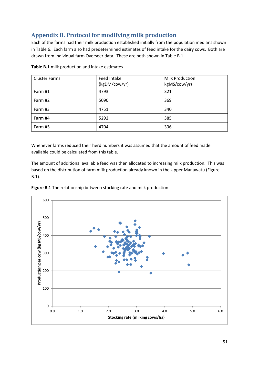## <span id="page-50-0"></span>**Appendix B. Protocol for modifying milk production**

Each of the farms had their milk production established initially from the population medians shown in Table 6. Each farm also had predetermined estimates of feed intake for the dairy cows. Both are drawn from individual farm Overseer data. These are both shown in Table B.1.

| <b>Cluster Farms</b> | Feed Intake<br>(kgDM/cow/yr) | <b>Milk Production</b><br>kgMS/cow/yr) |
|----------------------|------------------------------|----------------------------------------|
| Farm #1              | 4793                         | 321                                    |
| Farm #2              | 5090                         | 369                                    |
| Farm #3              | 4751                         | 340                                    |
| Farm #4              | 5292                         | 385                                    |
| Farm #5              | 4704                         | 336                                    |

**Table B.1** milk production and intake estimates

Whenever farms reduced their herd numbers it was assumed that the amount of feed made available could be calculated from this table.

The amount of additional available feed was then allocated to increasing milk production. This was based on the distribution of farm milk production already known in the Upper Manawatu (Figure B.1).



**Figure B.1** The relationship between stocking rate and milk production